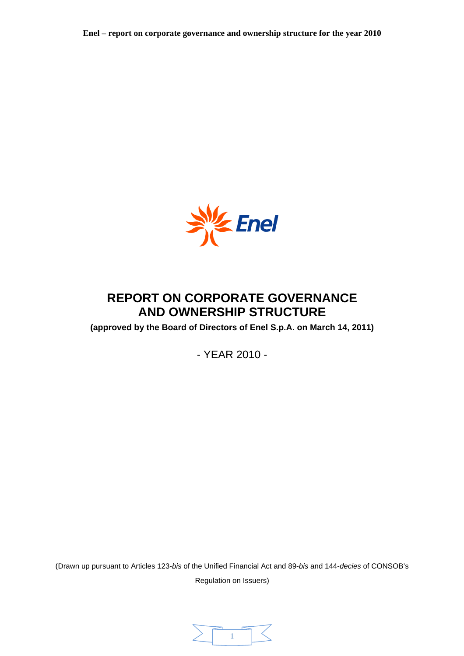

# **REPORT ON CORPORATE GOVERNANCE AND OWNERSHIP STRUCTURE**

**(approved by the Board of Directors of Enel S.p.A. on March 14, 2011)** 

- YEAR 2010 -

(Drawn up pursuant to Articles 123-*bis* of the Unified Financial Act and 89-*bis* and 144-*decies* of CONSOB's

Regulation on Issuers)

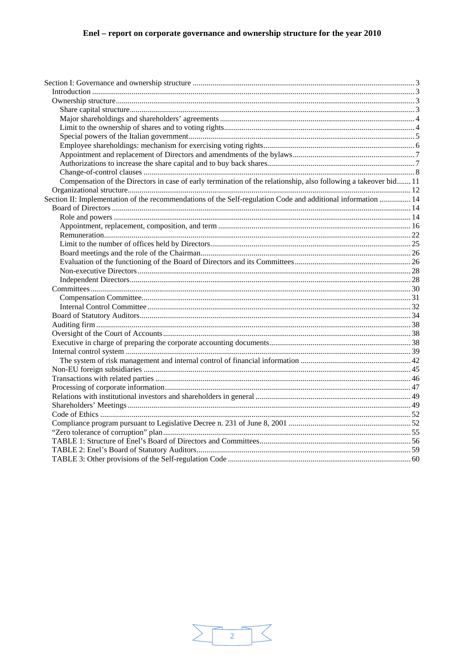| Compensation of the Directors in case of early termination of the relationship, also following a takeover bid 11 |  |
|------------------------------------------------------------------------------------------------------------------|--|
|                                                                                                                  |  |
| Section II: Implementation of the recommendations of the Self-regulation Code and additional information  14     |  |
|                                                                                                                  |  |
|                                                                                                                  |  |
|                                                                                                                  |  |
|                                                                                                                  |  |
|                                                                                                                  |  |
|                                                                                                                  |  |
|                                                                                                                  |  |
|                                                                                                                  |  |
|                                                                                                                  |  |
|                                                                                                                  |  |
|                                                                                                                  |  |
|                                                                                                                  |  |
|                                                                                                                  |  |
|                                                                                                                  |  |
|                                                                                                                  |  |
|                                                                                                                  |  |
|                                                                                                                  |  |
|                                                                                                                  |  |
|                                                                                                                  |  |
|                                                                                                                  |  |
|                                                                                                                  |  |
|                                                                                                                  |  |
|                                                                                                                  |  |
|                                                                                                                  |  |
|                                                                                                                  |  |
|                                                                                                                  |  |
|                                                                                                                  |  |
|                                                                                                                  |  |
|                                                                                                                  |  |

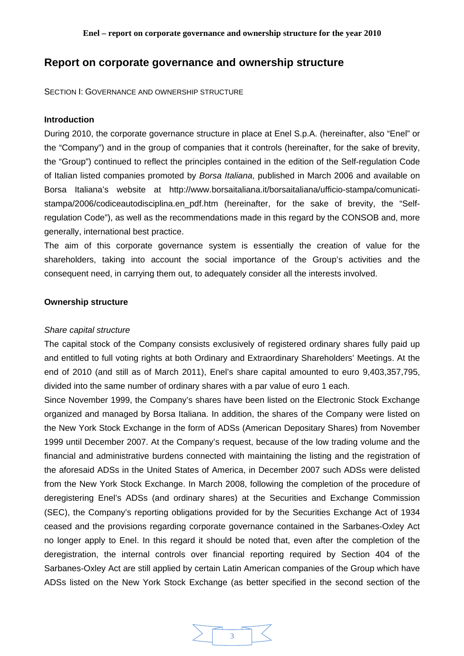# **Report on corporate governance and ownership structure**

SECTION I: GOVERNANCE AND OWNERSHIP STRUCTURE

#### **Introduction**

During 2010, the corporate governance structure in place at Enel S.p.A. (hereinafter, also "Enel" or the "Company") and in the group of companies that it controls (hereinafter, for the sake of brevity, the "Group") continued to reflect the principles contained in the edition of the Self-regulation Code of Italian listed companies promoted by *Borsa Italiana*, published in March 2006 and available on Borsa Italiana's website at http://www.borsaitaliana.it/borsaitaliana/ufficio-stampa/comunicatistampa/2006/codiceautodisciplina.en\_pdf.htm (hereinafter, for the sake of brevity, the "Selfregulation Code"), as well as the recommendations made in this regard by the CONSOB and, more generally, international best practice.

The aim of this corporate governance system is essentially the creation of value for the shareholders, taking into account the social importance of the Group's activities and the consequent need, in carrying them out, to adequately consider all the interests involved.

### **Ownership structure**

#### *Share capital structure*

The capital stock of the Company consists exclusively of registered ordinary shares fully paid up and entitled to full voting rights at both Ordinary and Extraordinary Shareholders' Meetings. At the end of 2010 (and still as of March 2011), Enel's share capital amounted to euro 9,403,357,795, divided into the same number of ordinary shares with a par value of euro 1 each.

Since November 1999, the Company's shares have been listed on the Electronic Stock Exchange organized and managed by Borsa Italiana. In addition, the shares of the Company were listed on the New York Stock Exchange in the form of ADSs (American Depositary Shares) from November 1999 until December 2007. At the Company's request, because of the low trading volume and the financial and administrative burdens connected with maintaining the listing and the registration of the aforesaid ADSs in the United States of America, in December 2007 such ADSs were delisted from the New York Stock Exchange. In March 2008, following the completion of the procedure of deregistering Enel's ADSs (and ordinary shares) at the Securities and Exchange Commission (SEC), the Company's reporting obligations provided for by the Securities Exchange Act of 1934 ceased and the provisions regarding corporate governance contained in the Sarbanes-Oxley Act no longer apply to Enel. In this regard it should be noted that, even after the completion of the deregistration, the internal controls over financial reporting required by Section 404 of the Sarbanes-Oxley Act are still applied by certain Latin American companies of the Group which have ADSs listed on the New York Stock Exchange (as better specified in the second section of the

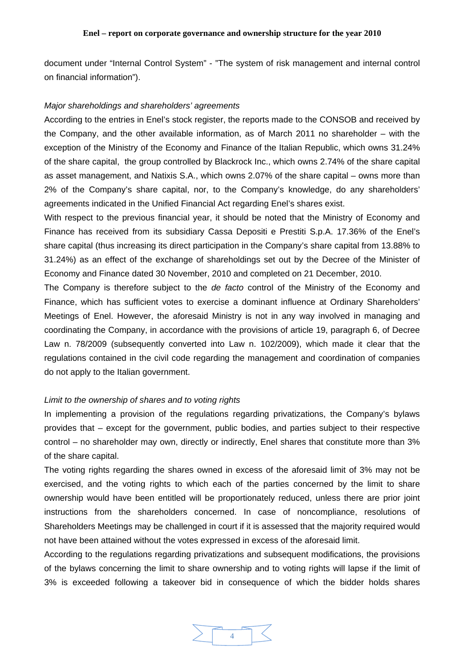document under "Internal Control System" - "The system of risk management and internal control on financial information").

#### *Major shareholdings and shareholders' agreements*

According to the entries in Enel's stock register, the reports made to the CONSOB and received by the Company, and the other available information, as of March 2011 no shareholder – with the exception of the Ministry of the Economy and Finance of the Italian Republic, which owns 31.24% of the share capital, the group controlled by Blackrock Inc., which owns 2.74% of the share capital as asset management, and Natixis S.A., which owns 2.07% of the share capital – owns more than 2% of the Company's share capital, nor, to the Company's knowledge, do any shareholders' agreements indicated in the Unified Financial Act regarding Enel's shares exist.

With respect to the previous financial year, it should be noted that the Ministry of Economy and Finance has received from its subsidiary Cassa Depositi e Prestiti S.p.A. 17.36% of the Enel's share capital (thus increasing its direct participation in the Company's share capital from 13.88% to 31.24%) as an effect of the exchange of shareholdings set out by the Decree of the Minister of Economy and Finance dated 30 November, 2010 and completed on 21 December, 2010.

The Company is therefore subject to the *de facto* control of the Ministry of the Economy and Finance, which has sufficient votes to exercise a dominant influence at Ordinary Shareholders' Meetings of Enel. However, the aforesaid Ministry is not in any way involved in managing and coordinating the Company, in accordance with the provisions of article 19, paragraph 6, of Decree Law n. 78/2009 (subsequently converted into Law n. 102/2009), which made it clear that the regulations contained in the civil code regarding the management and coordination of companies do not apply to the Italian government.

### *Limit to the ownership of shares and to voting rights*

In implementing a provision of the regulations regarding privatizations, the Company's bylaws provides that – except for the government, public bodies, and parties subject to their respective control – no shareholder may own, directly or indirectly, Enel shares that constitute more than 3% of the share capital.

The voting rights regarding the shares owned in excess of the aforesaid limit of 3% may not be exercised, and the voting rights to which each of the parties concerned by the limit to share ownership would have been entitled will be proportionately reduced, unless there are prior joint instructions from the shareholders concerned. In case of noncompliance, resolutions of Shareholders Meetings may be challenged in court if it is assessed that the majority required would not have been attained without the votes expressed in excess of the aforesaid limit.

According to the regulations regarding privatizations and subsequent modifications, the provisions of the bylaws concerning the limit to share ownership and to voting rights will lapse if the limit of 3% is exceeded following a takeover bid in consequence of which the bidder holds shares

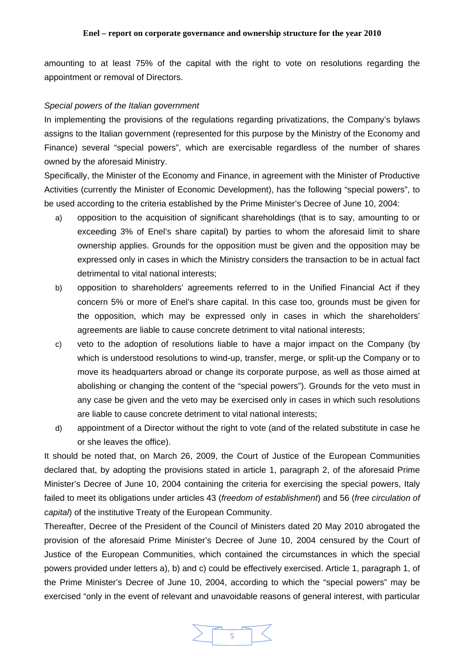amounting to at least 75% of the capital with the right to vote on resolutions regarding the appointment or removal of Directors.

# *Special powers of the Italian government*

In implementing the provisions of the regulations regarding privatizations, the Company's bylaws assigns to the Italian government (represented for this purpose by the Ministry of the Economy and Finance) several "special powers", which are exercisable regardless of the number of shares owned by the aforesaid Ministry.

Specifically, the Minister of the Economy and Finance, in agreement with the Minister of Productive Activities (currently the Minister of Economic Development), has the following "special powers", to be used according to the criteria established by the Prime Minister's Decree of June 10, 2004:

- a) opposition to the acquisition of significant shareholdings (that is to say, amounting to or exceeding 3% of Enel's share capital) by parties to whom the aforesaid limit to share ownership applies. Grounds for the opposition must be given and the opposition may be expressed only in cases in which the Ministry considers the transaction to be in actual fact detrimental to vital national interests;
- b) opposition to shareholders' agreements referred to in the Unified Financial Act if they concern 5% or more of Enel's share capital. In this case too, grounds must be given for the opposition, which may be expressed only in cases in which the shareholders' agreements are liable to cause concrete detriment to vital national interests;
- c) veto to the adoption of resolutions liable to have a major impact on the Company (by which is understood resolutions to wind-up, transfer, merge, or split-up the Company or to move its headquarters abroad or change its corporate purpose, as well as those aimed at abolishing or changing the content of the "special powers"). Grounds for the veto must in any case be given and the veto may be exercised only in cases in which such resolutions are liable to cause concrete detriment to vital national interests;
- d) appointment of a Director without the right to vote (and of the related substitute in case he or she leaves the office).

It should be noted that, on March 26, 2009, the Court of Justice of the European Communities declared that, by adopting the provisions stated in article 1, paragraph 2, of the aforesaid Prime Minister's Decree of June 10, 2004 containing the criteria for exercising the special powers, Italy failed to meet its obligations under articles 43 (*freedom of establishment*) and 56 (*free circulation of capital*) of the institutive Treaty of the European Community.

Thereafter, Decree of the President of the Council of Ministers dated 20 May 2010 abrogated the provision of the aforesaid Prime Minister's Decree of June 10, 2004 censured by the Court of Justice of the European Communities, which contained the circumstances in which the special powers provided under letters a), b) and c) could be effectively exercised. Article 1, paragraph 1, of the Prime Minister's Decree of June 10, 2004, according to which the "special powers" may be exercised "only in the event of relevant and unavoidable reasons of general interest, with particular

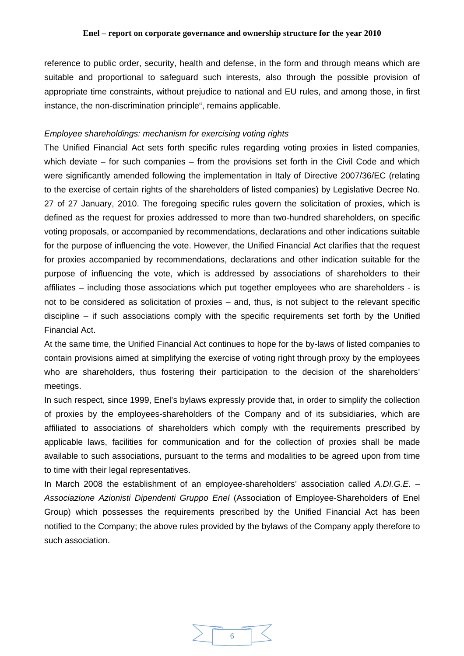reference to public order, security, health and defense, in the form and through means which are suitable and proportional to safeguard such interests, also through the possible provision of appropriate time constraints, without prejudice to national and EU rules, and among those, in first instance, the non-discrimination principle", remains applicable.

### *Employee shareholdings: mechanism for exercising voting rights*

The Unified Financial Act sets forth specific rules regarding voting proxies in listed companies, which deviate – for such companies – from the provisions set forth in the Civil Code and which were significantly amended following the implementation in Italy of Directive 2007/36/EC (relating to the exercise of certain rights of the shareholders of listed companies) by Legislative Decree No. 27 of 27 January, 2010. The foregoing specific rules govern the solicitation of proxies, which is defined as the request for proxies addressed to more than two-hundred shareholders, on specific voting proposals, or accompanied by recommendations, declarations and other indications suitable for the purpose of influencing the vote. However, the Unified Financial Act clarifies that the request for proxies accompanied by recommendations, declarations and other indication suitable for the purpose of influencing the vote, which is addressed by associations of shareholders to their affiliates – including those associations which put together employees who are shareholders - is not to be considered as solicitation of proxies – and, thus, is not subject to the relevant specific discipline – if such associations comply with the specific requirements set forth by the Unified Financial Act.

At the same time, the Unified Financial Act continues to hope for the by-laws of listed companies to contain provisions aimed at simplifying the exercise of voting right through proxy by the employees who are shareholders, thus fostering their participation to the decision of the shareholders' meetings.

In such respect, since 1999, Enel's bylaws expressly provide that, in order to simplify the collection of proxies by the employees-shareholders of the Company and of its subsidiaries, which are affiliated to associations of shareholders which comply with the requirements prescribed by applicable laws, facilities for communication and for the collection of proxies shall be made available to such associations, pursuant to the terms and modalities to be agreed upon from time to time with their legal representatives.

In March 2008 the establishment of an employee-shareholders' association called *A.DI.G.E. – Associazione Azionisti Dipendenti Gruppo Enel* (Association of Employee-Shareholders of Enel Group) which possesses the requirements prescribed by the Unified Financial Act has been notified to the Company; the above rules provided by the bylaws of the Company apply therefore to such association.

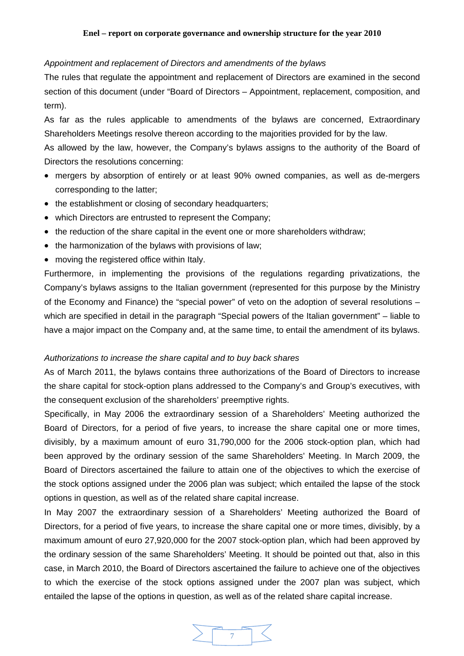# *Appointment and replacement of Directors and amendments of the bylaws*

The rules that regulate the appointment and replacement of Directors are examined in the second section of this document (under "Board of Directors – Appointment, replacement, composition, and term).

As far as the rules applicable to amendments of the bylaws are concerned, Extraordinary Shareholders Meetings resolve thereon according to the majorities provided for by the law.

As allowed by the law, however, the Company's bylaws assigns to the authority of the Board of Directors the resolutions concerning:

- mergers by absorption of entirely or at least 90% owned companies, as well as de-mergers corresponding to the latter;
- the establishment or closing of secondary headquarters;
- which Directors are entrusted to represent the Company;
- the reduction of the share capital in the event one or more shareholders withdraw;
- the harmonization of the bylaws with provisions of law;
- moving the registered office within Italy.

Furthermore, in implementing the provisions of the regulations regarding privatizations, the Company's bylaws assigns to the Italian government (represented for this purpose by the Ministry of the Economy and Finance) the "special power" of veto on the adoption of several resolutions – which are specified in detail in the paragraph "Special powers of the Italian government" – liable to have a major impact on the Company and, at the same time, to entail the amendment of its bylaws.

## *Authorizations to increase the share capital and to buy back shares*

As of March 2011, the bylaws contains three authorizations of the Board of Directors to increase the share capital for stock-option plans addressed to the Company's and Group's executives, with the consequent exclusion of the shareholders' preemptive rights.

Specifically, in May 2006 the extraordinary session of a Shareholders' Meeting authorized the Board of Directors, for a period of five years, to increase the share capital one or more times, divisibly, by a maximum amount of euro 31,790,000 for the 2006 stock-option plan, which had been approved by the ordinary session of the same Shareholders' Meeting. In March 2009, the Board of Directors ascertained the failure to attain one of the objectives to which the exercise of the stock options assigned under the 2006 plan was subject; which entailed the lapse of the stock options in question, as well as of the related share capital increase.

In May 2007 the extraordinary session of a Shareholders' Meeting authorized the Board of Directors, for a period of five years, to increase the share capital one or more times, divisibly, by a maximum amount of euro 27,920,000 for the 2007 stock-option plan, which had been approved by the ordinary session of the same Shareholders' Meeting. It should be pointed out that, also in this case, in March 2010, the Board of Directors ascertained the failure to achieve one of the objectives to which the exercise of the stock options assigned under the 2007 plan was subject, which entailed the lapse of the options in question, as well as of the related share capital increase.

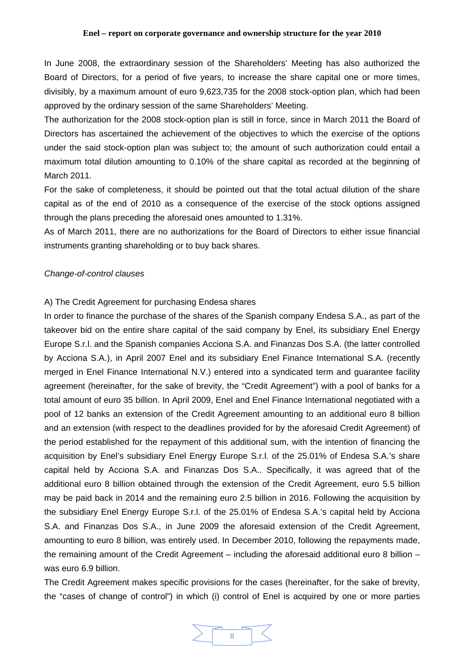In June 2008, the extraordinary session of the Shareholders' Meeting has also authorized the Board of Directors, for a period of five years, to increase the share capital one or more times, divisibly, by a maximum amount of euro 9,623,735 for the 2008 stock-option plan, which had been approved by the ordinary session of the same Shareholders' Meeting.

The authorization for the 2008 stock-option plan is still in force, since in March 2011 the Board of Directors has ascertained the achievement of the objectives to which the exercise of the options under the said stock-option plan was subject to; the amount of such authorization could entail a maximum total dilution amounting to 0.10% of the share capital as recorded at the beginning of March 2011.

For the sake of completeness, it should be pointed out that the total actual dilution of the share capital as of the end of 2010 as a consequence of the exercise of the stock options assigned through the plans preceding the aforesaid ones amounted to 1.31%.

As of March 2011, there are no authorizations for the Board of Directors to either issue financial instruments granting shareholding or to buy back shares.

### *Change-of-control clauses*

### A) The Credit Agreement for purchasing Endesa shares

In order to finance the purchase of the shares of the Spanish company Endesa S.A., as part of the takeover bid on the entire share capital of the said company by Enel, its subsidiary Enel Energy Europe S.r.l. and the Spanish companies Acciona S.A. and Finanzas Dos S.A. (the latter controlled by Acciona S.A.), in April 2007 Enel and its subsidiary Enel Finance International S.A. (recently merged in Enel Finance International N.V.) entered into a syndicated term and guarantee facility agreement (hereinafter, for the sake of brevity, the "Credit Agreement") with a pool of banks for a total amount of euro 35 billion. In April 2009, Enel and Enel Finance International negotiated with a pool of 12 banks an extension of the Credit Agreement amounting to an additional euro 8 billion and an extension (with respect to the deadlines provided for by the aforesaid Credit Agreement) of the period established for the repayment of this additional sum, with the intention of financing the acquisition by Enel's subsidiary Enel Energy Europe S.r.l. of the 25.01% of Endesa S.A.'s share capital held by Acciona S.A. and Finanzas Dos S.A.. Specifically, it was agreed that of the additional euro 8 billion obtained through the extension of the Credit Agreement, euro 5.5 billion may be paid back in 2014 and the remaining euro 2.5 billion in 2016. Following the acquisition by the subsidiary Enel Energy Europe S.r.l. of the 25.01% of Endesa S.A.'s capital held by Acciona S.A. and Finanzas Dos S.A., in June 2009 the aforesaid extension of the Credit Agreement, amounting to euro 8 billion, was entirely used. In December 2010, following the repayments made, the remaining amount of the Credit Agreement – including the aforesaid additional euro 8 billion – was euro 6.9 billion.

The Credit Agreement makes specific provisions for the cases (hereinafter, for the sake of brevity, the "cases of change of control") in which (i) control of Enel is acquired by one or more parties

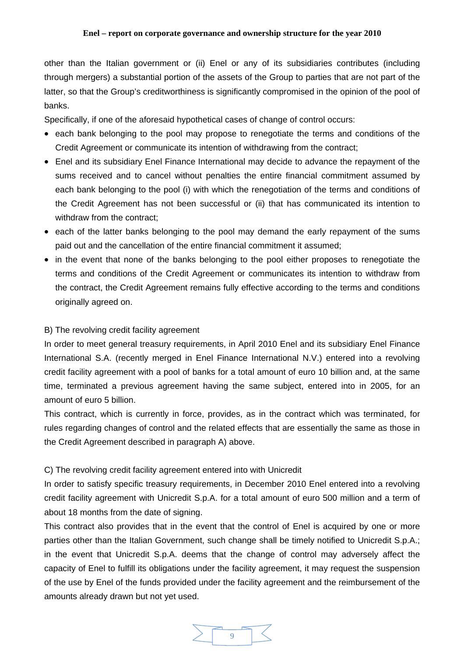other than the Italian government or (ii) Enel or any of its subsidiaries contributes (including through mergers) a substantial portion of the assets of the Group to parties that are not part of the latter, so that the Group's creditworthiness is significantly compromised in the opinion of the pool of banks.

Specifically, if one of the aforesaid hypothetical cases of change of control occurs:

- each bank belonging to the pool may propose to renegotiate the terms and conditions of the Credit Agreement or communicate its intention of withdrawing from the contract;
- Enel and its subsidiary Enel Finance International may decide to advance the repayment of the sums received and to cancel without penalties the entire financial commitment assumed by each bank belonging to the pool (i) with which the renegotiation of the terms and conditions of the Credit Agreement has not been successful or (ii) that has communicated its intention to withdraw from the contract;
- each of the latter banks belonging to the pool may demand the early repayment of the sums paid out and the cancellation of the entire financial commitment it assumed;
- in the event that none of the banks belonging to the pool either proposes to renegotiate the terms and conditions of the Credit Agreement or communicates its intention to withdraw from the contract, the Credit Agreement remains fully effective according to the terms and conditions originally agreed on.

# B) The revolving credit facility agreement

In order to meet general treasury requirements, in April 2010 Enel and its subsidiary Enel Finance International S.A. (recently merged in Enel Finance International N.V.) entered into a revolving credit facility agreement with a pool of banks for a total amount of euro 10 billion and, at the same time, terminated a previous agreement having the same subject, entered into in 2005, for an amount of euro 5 billion.

This contract, which is currently in force, provides, as in the contract which was terminated, for rules regarding changes of control and the related effects that are essentially the same as those in the Credit Agreement described in paragraph A) above.

### C) The revolving credit facility agreement entered into with Unicredit

In order to satisfy specific treasury requirements, in December 2010 Enel entered into a revolving credit facility agreement with Unicredit S.p.A. for a total amount of euro 500 million and a term of about 18 months from the date of signing.

This contract also provides that in the event that the control of Enel is acquired by one or more parties other than the Italian Government, such change shall be timely notified to Unicredit S.p.A.; in the event that Unicredit S.p.A. deems that the change of control may adversely affect the capacity of Enel to fulfill its obligations under the facility agreement, it may request the suspension of the use by Enel of the funds provided under the facility agreement and the reimbursement of the amounts already drawn but not yet used.

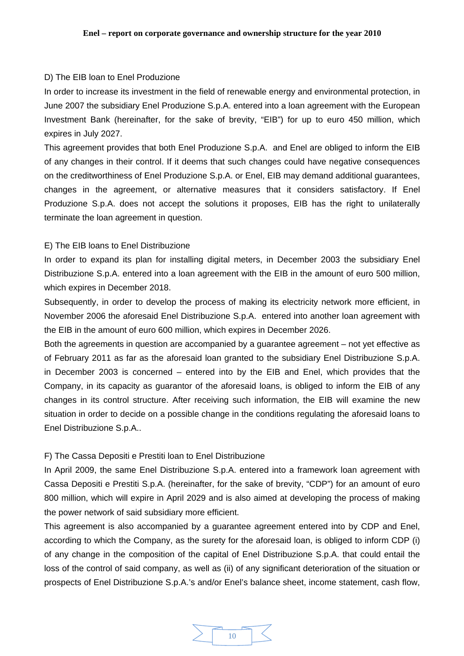# D) The EIB loan to Enel Produzione

In order to increase its investment in the field of renewable energy and environmental protection, in June 2007 the subsidiary Enel Produzione S.p.A. entered into a loan agreement with the European Investment Bank (hereinafter, for the sake of brevity, "EIB") for up to euro 450 million, which expires in July 2027.

This agreement provides that both Enel Produzione S.p.A. and Enel are obliged to inform the EIB of any changes in their control. If it deems that such changes could have negative consequences on the creditworthiness of Enel Produzione S.p.A. or Enel, EIB may demand additional guarantees, changes in the agreement, or alternative measures that it considers satisfactory. If Enel Produzione S.p.A. does not accept the solutions it proposes, EIB has the right to unilaterally terminate the loan agreement in question.

### E) The EIB loans to Enel Distribuzione

In order to expand its plan for installing digital meters, in December 2003 the subsidiary Enel Distribuzione S.p.A. entered into a loan agreement with the EIB in the amount of euro 500 million, which expires in December 2018.

Subsequently, in order to develop the process of making its electricity network more efficient, in November 2006 the aforesaid Enel Distribuzione S.p.A. entered into another loan agreement with the EIB in the amount of euro 600 million, which expires in December 2026.

Both the agreements in question are accompanied by a guarantee agreement – not yet effective as of February 2011 as far as the aforesaid loan granted to the subsidiary Enel Distribuzione S.p.A. in December 2003 is concerned – entered into by the EIB and Enel, which provides that the Company, in its capacity as guarantor of the aforesaid loans, is obliged to inform the EIB of any changes in its control structure. After receiving such information, the EIB will examine the new situation in order to decide on a possible change in the conditions regulating the aforesaid loans to Enel Distribuzione S.p.A..

# F) The Cassa Depositi e Prestiti loan to Enel Distribuzione

In April 2009, the same Enel Distribuzione S.p.A. entered into a framework loan agreement with Cassa Depositi e Prestiti S.p.A. (hereinafter, for the sake of brevity, "CDP") for an amount of euro 800 million, which will expire in April 2029 and is also aimed at developing the process of making the power network of said subsidiary more efficient.

This agreement is also accompanied by a guarantee agreement entered into by CDP and Enel, according to which the Company, as the surety for the aforesaid loan, is obliged to inform CDP (i) of any change in the composition of the capital of Enel Distribuzione S.p.A. that could entail the loss of the control of said company, as well as (ii) of any significant deterioration of the situation or prospects of Enel Distribuzione S.p.A.'s and/or Enel's balance sheet, income statement, cash flow,

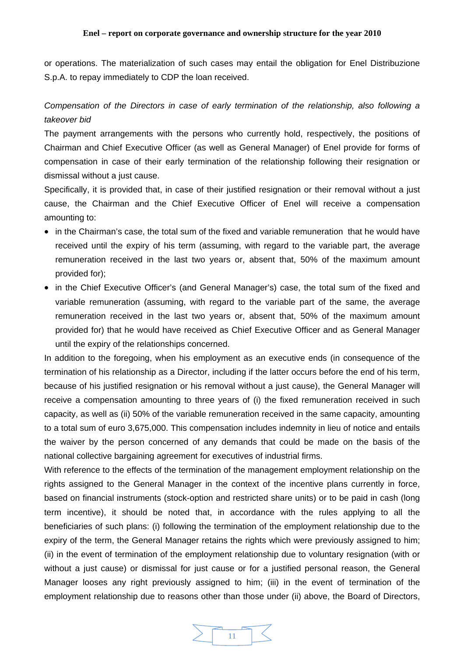or operations. The materialization of such cases may entail the obligation for Enel Distribuzione S.p.A. to repay immediately to CDP the loan received.

# *Compensation of the Directors in case of early termination of the relationship, also following a takeover bid*

The payment arrangements with the persons who currently hold, respectively, the positions of Chairman and Chief Executive Officer (as well as General Manager) of Enel provide for forms of compensation in case of their early termination of the relationship following their resignation or dismissal without a just cause.

Specifically, it is provided that, in case of their justified resignation or their removal without a just cause, the Chairman and the Chief Executive Officer of Enel will receive a compensation amounting to:

- in the Chairman's case, the total sum of the fixed and variable remuneration that he would have received until the expiry of his term (assuming, with regard to the variable part, the average remuneration received in the last two years or, absent that, 50% of the maximum amount provided for);
- in the Chief Executive Officer's (and General Manager's) case, the total sum of the fixed and variable remuneration (assuming, with regard to the variable part of the same, the average remuneration received in the last two years or, absent that, 50% of the maximum amount provided for) that he would have received as Chief Executive Officer and as General Manager until the expiry of the relationships concerned.

In addition to the foregoing, when his employment as an executive ends (in consequence of the termination of his relationship as a Director, including if the latter occurs before the end of his term, because of his justified resignation or his removal without a just cause), the General Manager will receive a compensation amounting to three years of (i) the fixed remuneration received in such capacity, as well as (ii) 50% of the variable remuneration received in the same capacity, amounting to a total sum of euro 3,675,000. This compensation includes indemnity in lieu of notice and entails the waiver by the person concerned of any demands that could be made on the basis of the national collective bargaining agreement for executives of industrial firms.

With reference to the effects of the termination of the management employment relationship on the rights assigned to the General Manager in the context of the incentive plans currently in force, based on financial instruments (stock-option and restricted share units) or to be paid in cash (long term incentive), it should be noted that, in accordance with the rules applying to all the beneficiaries of such plans: (i) following the termination of the employment relationship due to the expiry of the term, the General Manager retains the rights which were previously assigned to him; (ii) in the event of termination of the employment relationship due to voluntary resignation (with or without a just cause) or dismissal for just cause or for a justified personal reason, the General Manager looses any right previously assigned to him; (iii) in the event of termination of the employment relationship due to reasons other than those under (ii) above, the Board of Directors,

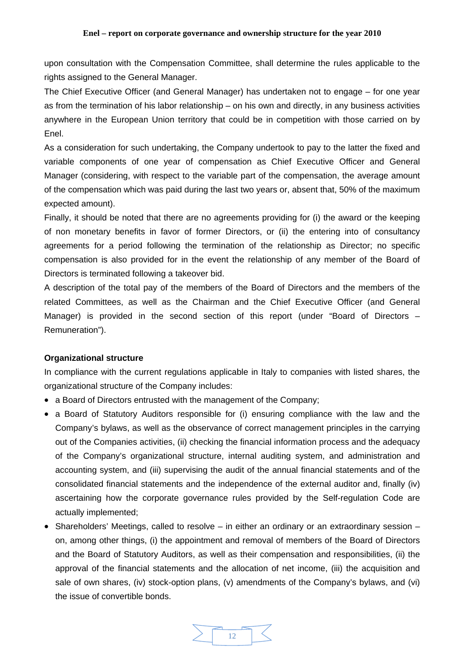upon consultation with the Compensation Committee, shall determine the rules applicable to the rights assigned to the General Manager.

The Chief Executive Officer (and General Manager) has undertaken not to engage – for one year as from the termination of his labor relationship – on his own and directly, in any business activities anywhere in the European Union territory that could be in competition with those carried on by Enel.

As a consideration for such undertaking, the Company undertook to pay to the latter the fixed and variable components of one year of compensation as Chief Executive Officer and General Manager (considering, with respect to the variable part of the compensation, the average amount of the compensation which was paid during the last two years or, absent that, 50% of the maximum expected amount).

Finally, it should be noted that there are no agreements providing for (i) the award or the keeping of non monetary benefits in favor of former Directors, or (ii) the entering into of consultancy agreements for a period following the termination of the relationship as Director; no specific compensation is also provided for in the event the relationship of any member of the Board of Directors is terminated following a takeover bid.

A description of the total pay of the members of the Board of Directors and the members of the related Committees, as well as the Chairman and the Chief Executive Officer (and General Manager) is provided in the second section of this report (under "Board of Directors – Remuneration").

# **Organizational structure**

In compliance with the current regulations applicable in Italy to companies with listed shares, the organizational structure of the Company includes:

- a Board of Directors entrusted with the management of the Company;
- a Board of Statutory Auditors responsible for (i) ensuring compliance with the law and the Company's bylaws, as well as the observance of correct management principles in the carrying out of the Companies activities, (ii) checking the financial information process and the adequacy of the Company's organizational structure, internal auditing system, and administration and accounting system, and (iii) supervising the audit of the annual financial statements and of the consolidated financial statements and the independence of the external auditor and, finally (iv) ascertaining how the corporate governance rules provided by the Self-regulation Code are actually implemented;
- Shareholders' Meetings, called to resolve in either an ordinary or an extraordinary session on, among other things, (i) the appointment and removal of members of the Board of Directors and the Board of Statutory Auditors, as well as their compensation and responsibilities, (ii) the approval of the financial statements and the allocation of net income, (iii) the acquisition and sale of own shares, (iv) stock-option plans, (v) amendments of the Company's bylaws, and (vi) the issue of convertible bonds.

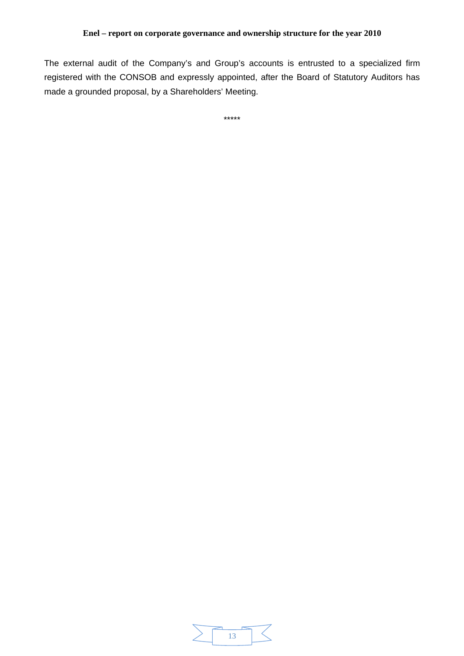The external audit of the Company's and Group's accounts is entrusted to a specialized firm registered with the CONSOB and expressly appointed, after the Board of Statutory Auditors has made a grounded proposal, by a Shareholders' Meeting.

\*\*\*\*\*

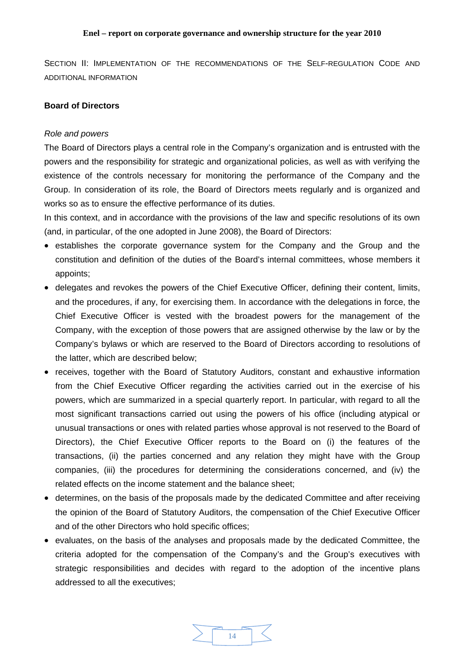SECTION II: IMPLEMENTATION OF THE RECOMMENDATIONS OF THE SELF-REGULATION CODE AND ADDITIONAL INFORMATION

# **Board of Directors**

# *Role and powers*

The Board of Directors plays a central role in the Company's organization and is entrusted with the powers and the responsibility for strategic and organizational policies, as well as with verifying the existence of the controls necessary for monitoring the performance of the Company and the Group. In consideration of its role, the Board of Directors meets regularly and is organized and works so as to ensure the effective performance of its duties.

In this context, and in accordance with the provisions of the law and specific resolutions of its own (and, in particular, of the one adopted in June 2008), the Board of Directors:

- establishes the corporate governance system for the Company and the Group and the constitution and definition of the duties of the Board's internal committees, whose members it appoints;
- delegates and revokes the powers of the Chief Executive Officer, defining their content, limits, and the procedures, if any, for exercising them. In accordance with the delegations in force, the Chief Executive Officer is vested with the broadest powers for the management of the Company, with the exception of those powers that are assigned otherwise by the law or by the Company's bylaws or which are reserved to the Board of Directors according to resolutions of the latter, which are described below;
- receives, together with the Board of Statutory Auditors, constant and exhaustive information from the Chief Executive Officer regarding the activities carried out in the exercise of his powers, which are summarized in a special quarterly report. In particular, with regard to all the most significant transactions carried out using the powers of his office (including atypical or unusual transactions or ones with related parties whose approval is not reserved to the Board of Directors), the Chief Executive Officer reports to the Board on (i) the features of the transactions, (ii) the parties concerned and any relation they might have with the Group companies, (iii) the procedures for determining the considerations concerned, and (iv) the related effects on the income statement and the balance sheet;
- determines, on the basis of the proposals made by the dedicated Committee and after receiving the opinion of the Board of Statutory Auditors, the compensation of the Chief Executive Officer and of the other Directors who hold specific offices;
- evaluates, on the basis of the analyses and proposals made by the dedicated Committee, the criteria adopted for the compensation of the Company's and the Group's executives with strategic responsibilities and decides with regard to the adoption of the incentive plans addressed to all the executives;

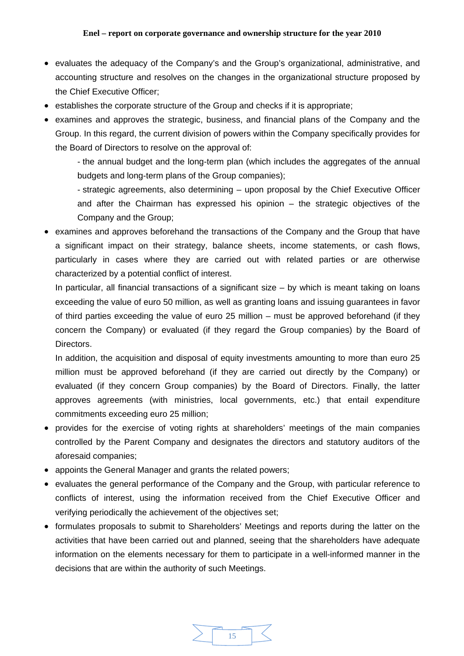- evaluates the adequacy of the Company's and the Group's organizational, administrative, and accounting structure and resolves on the changes in the organizational structure proposed by the Chief Executive Officer;
- establishes the corporate structure of the Group and checks if it is appropriate;
- examines and approves the strategic, business, and financial plans of the Company and the Group. In this regard, the current division of powers within the Company specifically provides for the Board of Directors to resolve on the approval of:

 - the annual budget and the long-term plan (which includes the aggregates of the annual budgets and long-term plans of the Group companies);

 - strategic agreements, also determining – upon proposal by the Chief Executive Officer and after the Chairman has expressed his opinion – the strategic objectives of the Company and the Group;

• examines and approves beforehand the transactions of the Company and the Group that have a significant impact on their strategy, balance sheets, income statements, or cash flows, particularly in cases where they are carried out with related parties or are otherwise characterized by a potential conflict of interest.

In particular, all financial transactions of a significant size – by which is meant taking on loans exceeding the value of euro 50 million, as well as granting loans and issuing guarantees in favor of third parties exceeding the value of euro 25 million – must be approved beforehand (if they concern the Company) or evaluated (if they regard the Group companies) by the Board of Directors.

In addition, the acquisition and disposal of equity investments amounting to more than euro 25 million must be approved beforehand (if they are carried out directly by the Company) or evaluated (if they concern Group companies) by the Board of Directors. Finally, the latter approves agreements (with ministries, local governments, etc.) that entail expenditure commitments exceeding euro 25 million;

- provides for the exercise of voting rights at shareholders' meetings of the main companies controlled by the Parent Company and designates the directors and statutory auditors of the aforesaid companies;
- appoints the General Manager and grants the related powers;
- evaluates the general performance of the Company and the Group, with particular reference to conflicts of interest, using the information received from the Chief Executive Officer and verifying periodically the achievement of the objectives set;
- formulates proposals to submit to Shareholders' Meetings and reports during the latter on the activities that have been carried out and planned, seeing that the shareholders have adequate information on the elements necessary for them to participate in a well-informed manner in the decisions that are within the authority of such Meetings.

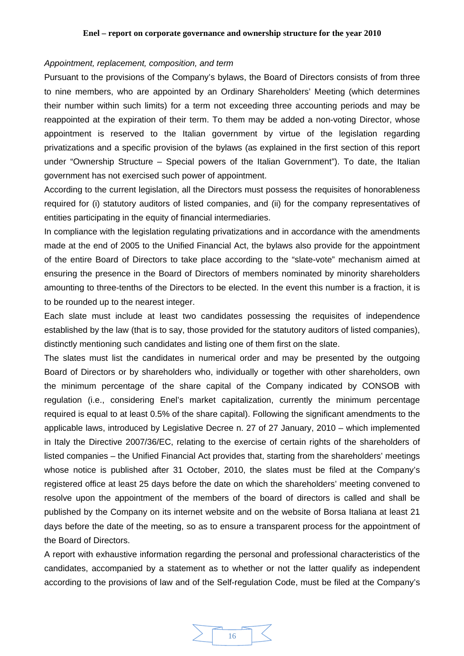### *Appointment, replacement, composition, and term*

Pursuant to the provisions of the Company's bylaws, the Board of Directors consists of from three to nine members, who are appointed by an Ordinary Shareholders' Meeting (which determines their number within such limits) for a term not exceeding three accounting periods and may be reappointed at the expiration of their term. To them may be added a non-voting Director, whose appointment is reserved to the Italian government by virtue of the legislation regarding privatizations and a specific provision of the bylaws (as explained in the first section of this report under "Ownership Structure – Special powers of the Italian Government"). To date, the Italian government has not exercised such power of appointment.

According to the current legislation, all the Directors must possess the requisites of honorableness required for (i) statutory auditors of listed companies, and (ii) for the company representatives of entities participating in the equity of financial intermediaries.

In compliance with the legislation regulating privatizations and in accordance with the amendments made at the end of 2005 to the Unified Financial Act, the bylaws also provide for the appointment of the entire Board of Directors to take place according to the "slate-vote" mechanism aimed at ensuring the presence in the Board of Directors of members nominated by minority shareholders amounting to three-tenths of the Directors to be elected. In the event this number is a fraction, it is to be rounded up to the nearest integer.

Each slate must include at least two candidates possessing the requisites of independence established by the law (that is to say, those provided for the statutory auditors of listed companies), distinctly mentioning such candidates and listing one of them first on the slate.

The slates must list the candidates in numerical order and may be presented by the outgoing Board of Directors or by shareholders who, individually or together with other shareholders, own the minimum percentage of the share capital of the Company indicated by CONSOB with regulation (i.e., considering Enel's market capitalization, currently the minimum percentage required is equal to at least 0.5% of the share capital). Following the significant amendments to the applicable laws, introduced by Legislative Decree n. 27 of 27 January, 2010 – which implemented in Italy the Directive 2007/36/EC, relating to the exercise of certain rights of the shareholders of listed companies – the Unified Financial Act provides that, starting from the shareholders' meetings whose notice is published after 31 October, 2010, the slates must be filed at the Company's registered office at least 25 days before the date on which the shareholders' meeting convened to resolve upon the appointment of the members of the board of directors is called and shall be published by the Company on its internet website and on the website of Borsa Italiana at least 21 days before the date of the meeting, so as to ensure a transparent process for the appointment of the Board of Directors.

A report with exhaustive information regarding the personal and professional characteristics of the candidates, accompanied by a statement as to whether or not the latter qualify as independent according to the provisions of law and of the Self-regulation Code, must be filed at the Company's

![](_page_15_Figure_8.jpeg)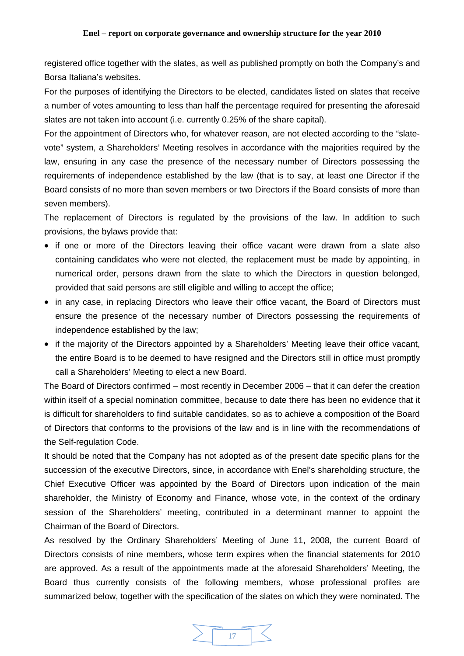registered office together with the slates, as well as published promptly on both the Company's and Borsa Italiana's websites.

For the purposes of identifying the Directors to be elected, candidates listed on slates that receive a number of votes amounting to less than half the percentage required for presenting the aforesaid slates are not taken into account (i.e. currently 0.25% of the share capital).

For the appointment of Directors who, for whatever reason, are not elected according to the "slatevote" system, a Shareholders' Meeting resolves in accordance with the majorities required by the law, ensuring in any case the presence of the necessary number of Directors possessing the requirements of independence established by the law (that is to say, at least one Director if the Board consists of no more than seven members or two Directors if the Board consists of more than seven members).

The replacement of Directors is regulated by the provisions of the law. In addition to such provisions, the bylaws provide that:

- if one or more of the Directors leaving their office vacant were drawn from a slate also containing candidates who were not elected, the replacement must be made by appointing, in numerical order, persons drawn from the slate to which the Directors in question belonged, provided that said persons are still eligible and willing to accept the office;
- in any case, in replacing Directors who leave their office vacant, the Board of Directors must ensure the presence of the necessary number of Directors possessing the requirements of independence established by the law;
- if the majority of the Directors appointed by a Shareholders' Meeting leave their office vacant, the entire Board is to be deemed to have resigned and the Directors still in office must promptly call a Shareholders' Meeting to elect a new Board.

The Board of Directors confirmed – most recently in December 2006 – that it can defer the creation within itself of a special nomination committee, because to date there has been no evidence that it is difficult for shareholders to find suitable candidates, so as to achieve a composition of the Board of Directors that conforms to the provisions of the law and is in line with the recommendations of the Self-regulation Code.

It should be noted that the Company has not adopted as of the present date specific plans for the succession of the executive Directors, since, in accordance with Enel's shareholding structure, the Chief Executive Officer was appointed by the Board of Directors upon indication of the main shareholder, the Ministry of Economy and Finance, whose vote, in the context of the ordinary session of the Shareholders' meeting, contributed in a determinant manner to appoint the Chairman of the Board of Directors.

As resolved by the Ordinary Shareholders' Meeting of June 11, 2008, the current Board of Directors consists of nine members, whose term expires when the financial statements for 2010 are approved. As a result of the appointments made at the aforesaid Shareholders' Meeting, the Board thus currently consists of the following members, whose professional profiles are summarized below, together with the specification of the slates on which they were nominated. The

![](_page_16_Figure_11.jpeg)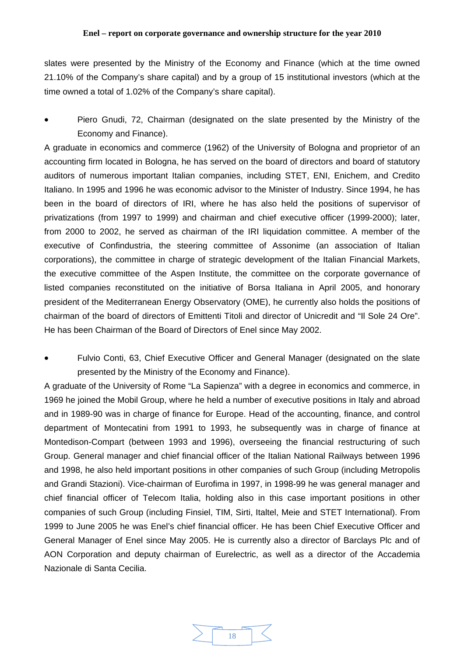slates were presented by the Ministry of the Economy and Finance (which at the time owned 21.10% of the Company's share capital) and by a group of 15 institutional investors (which at the time owned a total of 1.02% of the Company's share capital).

• Piero Gnudi, 72, Chairman (designated on the slate presented by the Ministry of the Economy and Finance).

A graduate in economics and commerce (1962) of the University of Bologna and proprietor of an accounting firm located in Bologna, he has served on the board of directors and board of statutory auditors of numerous important Italian companies, including STET, ENI, Enichem, and Credito Italiano. In 1995 and 1996 he was economic advisor to the Minister of Industry. Since 1994, he has been in the board of directors of IRI, where he has also held the positions of supervisor of privatizations (from 1997 to 1999) and chairman and chief executive officer (1999-2000); later, from 2000 to 2002, he served as chairman of the IRI liquidation committee. A member of the executive of Confindustria, the steering committee of Assonime (an association of Italian corporations), the committee in charge of strategic development of the Italian Financial Markets, the executive committee of the Aspen Institute, the committee on the corporate governance of listed companies reconstituted on the initiative of Borsa Italiana in April 2005, and honorary president of the Mediterranean Energy Observatory (OME), he currently also holds the positions of chairman of the board of directors of Emittenti Titoli and director of Unicredit and "Il Sole 24 Ore". He has been Chairman of the Board of Directors of Enel since May 2002.

• Fulvio Conti, 63, Chief Executive Officer and General Manager (designated on the slate presented by the Ministry of the Economy and Finance).

A graduate of the University of Rome "La Sapienza" with a degree in economics and commerce, in 1969 he joined the Mobil Group, where he held a number of executive positions in Italy and abroad and in 1989-90 was in charge of finance for Europe. Head of the accounting, finance, and control department of Montecatini from 1991 to 1993, he subsequently was in charge of finance at Montedison-Compart (between 1993 and 1996), overseeing the financial restructuring of such Group. General manager and chief financial officer of the Italian National Railways between 1996 and 1998, he also held important positions in other companies of such Group (including Metropolis and Grandi Stazioni). Vice-chairman of Eurofima in 1997, in 1998-99 he was general manager and chief financial officer of Telecom Italia, holding also in this case important positions in other companies of such Group (including Finsiel, TIM, Sirti, Italtel, Meie and STET International). From 1999 to June 2005 he was Enel's chief financial officer. He has been Chief Executive Officer and General Manager of Enel since May 2005. He is currently also a director of Barclays Plc and of AON Corporation and deputy chairman of Eurelectric, as well as a director of the Accademia Nazionale di Santa Cecilia.

![](_page_17_Figure_6.jpeg)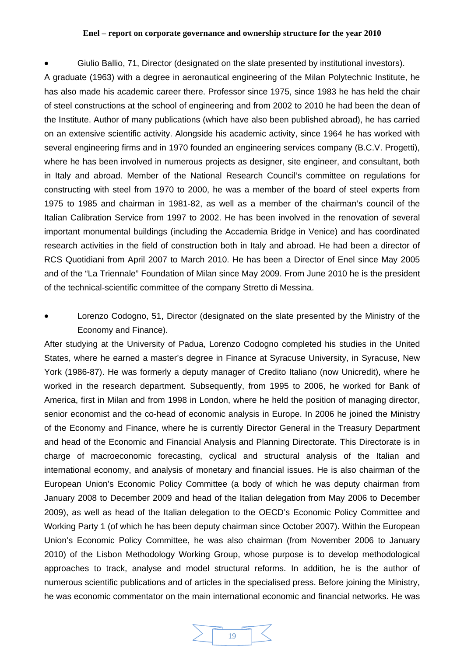• Giulio Ballio, 71, Director (designated on the slate presented by institutional investors).

A graduate (1963) with a degree in aeronautical engineering of the Milan Polytechnic Institute, he has also made his academic career there. Professor since 1975, since 1983 he has held the chair of steel constructions at the school of engineering and from 2002 to 2010 he had been the dean of the Institute. Author of many publications (which have also been published abroad), he has carried on an extensive scientific activity. Alongside his academic activity, since 1964 he has worked with several engineering firms and in 1970 founded an engineering services company (B.C.V. Progetti), where he has been involved in numerous projects as designer, site engineer, and consultant, both in Italy and abroad. Member of the National Research Council's committee on regulations for constructing with steel from 1970 to 2000, he was a member of the board of steel experts from 1975 to 1985 and chairman in 1981-82, as well as a member of the chairman's council of the Italian Calibration Service from 1997 to 2002. He has been involved in the renovation of several important monumental buildings (including the Accademia Bridge in Venice) and has coordinated research activities in the field of construction both in Italy and abroad. He had been a director of RCS Quotidiani from April 2007 to March 2010. He has been a Director of Enel since May 2005 and of the "La Triennale" Foundation of Milan since May 2009. From June 2010 he is the president of the technical-scientific committee of the company Stretto di Messina.

• Lorenzo Codogno, 51, Director (designated on the slate presented by the Ministry of the Economy and Finance).

After studying at the University of Padua, Lorenzo Codogno completed his studies in the United States, where he earned a master's degree in Finance at Syracuse University, in Syracuse, New York (1986-87). He was formerly a deputy manager of Credito Italiano (now Unicredit), where he worked in the research department. Subsequently, from 1995 to 2006, he worked for Bank of America, first in Milan and from 1998 in London, where he held the position of managing director, senior economist and the co-head of economic analysis in Europe. In 2006 he joined the Ministry of the Economy and Finance, where he is currently Director General in the Treasury Department and head of the Economic and Financial Analysis and Planning Directorate. This Directorate is in charge of macroeconomic forecasting, cyclical and structural analysis of the Italian and international economy, and analysis of monetary and financial issues. He is also chairman of the European Union's Economic Policy Committee (a body of which he was deputy chairman from January 2008 to December 2009 and head of the Italian delegation from May 2006 to December 2009), as well as head of the Italian delegation to the OECD's Economic Policy Committee and Working Party 1 (of which he has been deputy chairman since October 2007). Within the European Union's Economic Policy Committee, he was also chairman (from November 2006 to January 2010) of the Lisbon Methodology Working Group, whose purpose is to develop methodological approaches to track, analyse and model structural reforms. In addition, he is the author of numerous scientific publications and of articles in the specialised press. Before joining the Ministry, he was economic commentator on the main international economic and financial networks. He was

![](_page_18_Picture_5.jpeg)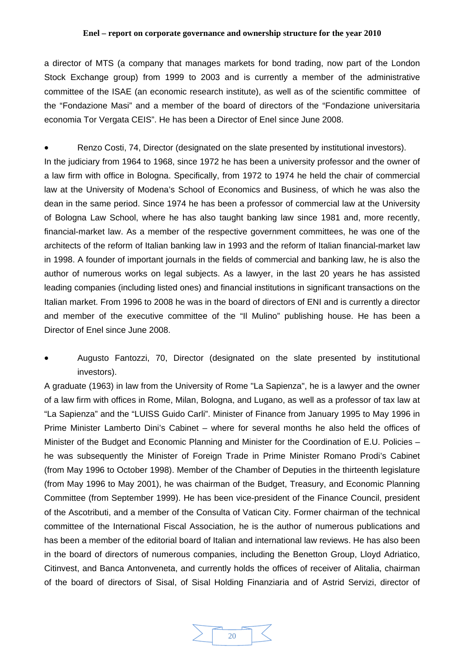a director of MTS (a company that manages markets for bond trading, now part of the London Stock Exchange group) from 1999 to 2003 and is currently a member of the administrative committee of the ISAE (an economic research institute), as well as of the scientific committee of the "Fondazione Masi" and a member of the board of directors of the "Fondazione universitaria economia Tor Vergata CEIS". He has been a Director of Enel since June 2008.

• Renzo Costi, 74, Director (designated on the slate presented by institutional investors). In the judiciary from 1964 to 1968, since 1972 he has been a university professor and the owner of a law firm with office in Bologna. Specifically, from 1972 to 1974 he held the chair of commercial law at the University of Modena's School of Economics and Business, of which he was also the dean in the same period. Since 1974 he has been a professor of commercial law at the University of Bologna Law School, where he has also taught banking law since 1981 and, more recently, financial-market law. As a member of the respective government committees, he was one of the architects of the reform of Italian banking law in 1993 and the reform of Italian financial-market law in 1998. A founder of important journals in the fields of commercial and banking law, he is also the author of numerous works on legal subjects. As a lawyer, in the last 20 years he has assisted leading companies (including listed ones) and financial institutions in significant transactions on the Italian market. From 1996 to 2008 he was in the board of directors of ENI and is currently a director and member of the executive committee of the "Il Mulino" publishing house. He has been a Director of Enel since June 2008.

• Augusto Fantozzi, 70, Director (designated on the slate presented by institutional investors).

A graduate (1963) in law from the University of Rome "La Sapienza", he is a lawyer and the owner of a law firm with offices in Rome, Milan, Bologna, and Lugano, as well as a professor of tax law at "La Sapienza" and the "LUISS Guido Carli". Minister of Finance from January 1995 to May 1996 in Prime Minister Lamberto Dini's Cabinet – where for several months he also held the offices of Minister of the Budget and Economic Planning and Minister for the Coordination of E.U. Policies – he was subsequently the Minister of Foreign Trade in Prime Minister Romano Prodi's Cabinet (from May 1996 to October 1998). Member of the Chamber of Deputies in the thirteenth legislature (from May 1996 to May 2001), he was chairman of the Budget, Treasury, and Economic Planning Committee (from September 1999). He has been vice-president of the Finance Council, president of the Ascotributi, and a member of the Consulta of Vatican City. Former chairman of the technical committee of the International Fiscal Association, he is the author of numerous publications and has been a member of the editorial board of Italian and international law reviews. He has also been in the board of directors of numerous companies, including the Benetton Group, Lloyd Adriatico, Citinvest, and Banca Antonveneta, and currently holds the offices of receiver of Alitalia, chairman of the board of directors of Sisal, of Sisal Holding Finanziaria and of Astrid Servizi, director of

![](_page_19_Picture_5.jpeg)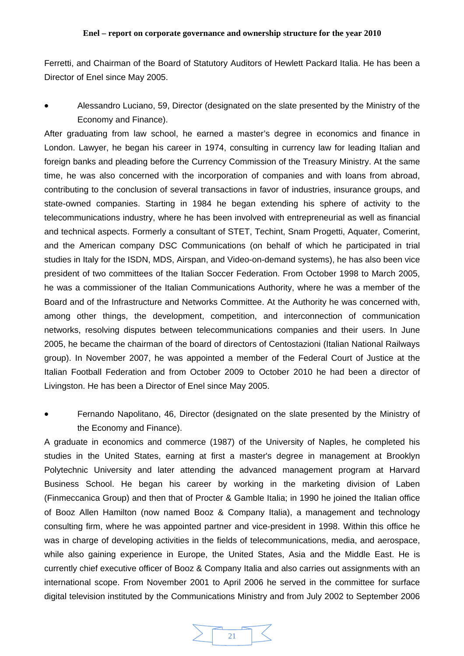Ferretti, and Chairman of the Board of Statutory Auditors of Hewlett Packard Italia. He has been a Director of Enel since May 2005.

• Alessandro Luciano, 59, Director (designated on the slate presented by the Ministry of the Economy and Finance).

After graduating from law school, he earned a master's degree in economics and finance in London. Lawyer, he began his career in 1974, consulting in currency law for leading Italian and foreign banks and pleading before the Currency Commission of the Treasury Ministry. At the same time, he was also concerned with the incorporation of companies and with loans from abroad, contributing to the conclusion of several transactions in favor of industries, insurance groups, and state-owned companies. Starting in 1984 he began extending his sphere of activity to the telecommunications industry, where he has been involved with entrepreneurial as well as financial and technical aspects. Formerly a consultant of STET, Techint, Snam Progetti, Aquater, Comerint, and the American company DSC Communications (on behalf of which he participated in trial studies in Italy for the ISDN, MDS, Airspan, and Video-on-demand systems), he has also been vice president of two committees of the Italian Soccer Federation. From October 1998 to March 2005, he was a commissioner of the Italian Communications Authority, where he was a member of the Board and of the Infrastructure and Networks Committee. At the Authority he was concerned with, among other things, the development, competition, and interconnection of communication networks, resolving disputes between telecommunications companies and their users. In June 2005, he became the chairman of the board of directors of Centostazioni (Italian National Railways group). In November 2007, he was appointed a member of the Federal Court of Justice at the Italian Football Federation and from October 2009 to October 2010 he had been a director of Livingston. He has been a Director of Enel since May 2005.

• Fernando Napolitano, 46, Director (designated on the slate presented by the Ministry of the Economy and Finance).

A graduate in economics and commerce (1987) of the University of Naples, he completed his studies in the United States, earning at first a master's degree in management at Brooklyn Polytechnic University and later attending the advanced management program at Harvard Business School. He began his career by working in the marketing division of Laben (Finmeccanica Group) and then that of Procter & Gamble Italia; in 1990 he joined the Italian office of Booz Allen Hamilton (now named Booz & Company Italia), a management and technology consulting firm, where he was appointed partner and vice-president in 1998. Within this office he was in charge of developing activities in the fields of telecommunications, media, and aerospace, while also gaining experience in Europe, the United States, Asia and the Middle East. He is currently chief executive officer of Booz & Company Italia and also carries out assignments with an international scope. From November 2001 to April 2006 he served in the committee for surface digital television instituted by the Communications Ministry and from July 2002 to September 2006

![](_page_20_Picture_6.jpeg)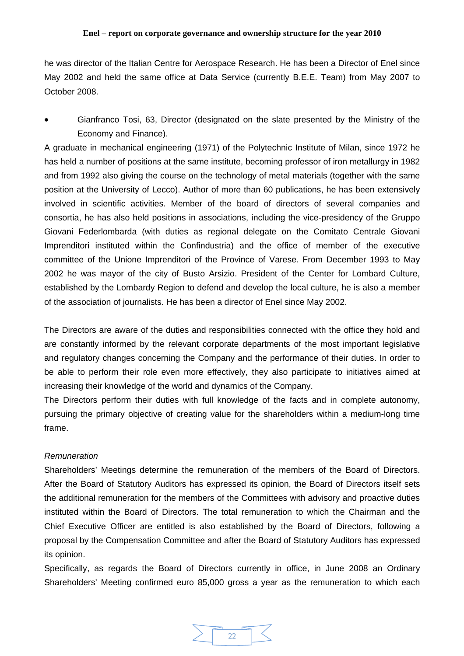he was director of the Italian Centre for Aerospace Research. He has been a Director of Enel since May 2002 and held the same office at Data Service (currently B.E.E. Team) from May 2007 to October 2008.

• Gianfranco Tosi, 63, Director (designated on the slate presented by the Ministry of the Economy and Finance).

A graduate in mechanical engineering (1971) of the Polytechnic Institute of Milan, since 1972 he has held a number of positions at the same institute, becoming professor of iron metallurgy in 1982 and from 1992 also giving the course on the technology of metal materials (together with the same position at the University of Lecco). Author of more than 60 publications, he has been extensively involved in scientific activities. Member of the board of directors of several companies and consortia, he has also held positions in associations, including the vice-presidency of the Gruppo Giovani Federlombarda (with duties as regional delegate on the Comitato Centrale Giovani Imprenditori instituted within the Confindustria) and the office of member of the executive committee of the Unione Imprenditori of the Province of Varese. From December 1993 to May 2002 he was mayor of the city of Busto Arsizio. President of the Center for Lombard Culture, established by the Lombardy Region to defend and develop the local culture, he is also a member of the association of journalists. He has been a director of Enel since May 2002.

The Directors are aware of the duties and responsibilities connected with the office they hold and are constantly informed by the relevant corporate departments of the most important legislative and regulatory changes concerning the Company and the performance of their duties. In order to be able to perform their role even more effectively, they also participate to initiatives aimed at increasing their knowledge of the world and dynamics of the Company.

The Directors perform their duties with full knowledge of the facts and in complete autonomy, pursuing the primary objective of creating value for the shareholders within a medium-long time frame.

# *Remuneration*

Shareholders' Meetings determine the remuneration of the members of the Board of Directors. After the Board of Statutory Auditors has expressed its opinion, the Board of Directors itself sets the additional remuneration for the members of the Committees with advisory and proactive duties instituted within the Board of Directors. The total remuneration to which the Chairman and the Chief Executive Officer are entitled is also established by the Board of Directors, following a proposal by the Compensation Committee and after the Board of Statutory Auditors has expressed its opinion.

Specifically, as regards the Board of Directors currently in office, in June 2008 an Ordinary Shareholders' Meeting confirmed euro 85,000 gross a year as the remuneration to which each

![](_page_21_Figure_9.jpeg)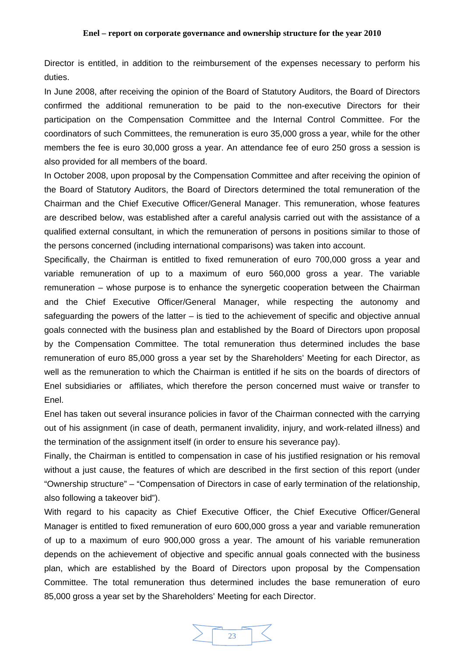Director is entitled, in addition to the reimbursement of the expenses necessary to perform his duties.

In June 2008, after receiving the opinion of the Board of Statutory Auditors, the Board of Directors confirmed the additional remuneration to be paid to the non-executive Directors for their participation on the Compensation Committee and the Internal Control Committee. For the coordinators of such Committees, the remuneration is euro 35,000 gross a year, while for the other members the fee is euro 30,000 gross a year. An attendance fee of euro 250 gross a session is also provided for all members of the board.

In October 2008, upon proposal by the Compensation Committee and after receiving the opinion of the Board of Statutory Auditors, the Board of Directors determined the total remuneration of the Chairman and the Chief Executive Officer/General Manager. This remuneration, whose features are described below, was established after a careful analysis carried out with the assistance of a qualified external consultant, in which the remuneration of persons in positions similar to those of the persons concerned (including international comparisons) was taken into account.

Specifically, the Chairman is entitled to fixed remuneration of euro 700,000 gross a year and variable remuneration of up to a maximum of euro 560,000 gross a year. The variable remuneration – whose purpose is to enhance the synergetic cooperation between the Chairman and the Chief Executive Officer/General Manager, while respecting the autonomy and safeguarding the powers of the latter – is tied to the achievement of specific and objective annual goals connected with the business plan and established by the Board of Directors upon proposal by the Compensation Committee. The total remuneration thus determined includes the base remuneration of euro 85,000 gross a year set by the Shareholders' Meeting for each Director, as well as the remuneration to which the Chairman is entitled if he sits on the boards of directors of Enel subsidiaries or affiliates, which therefore the person concerned must waive or transfer to Enel.

Enel has taken out several insurance policies in favor of the Chairman connected with the carrying out of his assignment (in case of death, permanent invalidity, injury, and work-related illness) and the termination of the assignment itself (in order to ensure his severance pay).

Finally, the Chairman is entitled to compensation in case of his justified resignation or his removal without a just cause, the features of which are described in the first section of this report (under "Ownership structure" – "Compensation of Directors in case of early termination of the relationship, also following a takeover bid").

With regard to his capacity as Chief Executive Officer, the Chief Executive Officer/General Manager is entitled to fixed remuneration of euro 600,000 gross a year and variable remuneration of up to a maximum of euro 900,000 gross a year. The amount of his variable remuneration depends on the achievement of objective and specific annual goals connected with the business plan, which are established by the Board of Directors upon proposal by the Compensation Committee. The total remuneration thus determined includes the base remuneration of euro 85,000 gross a year set by the Shareholders' Meeting for each Director.

![](_page_22_Picture_8.jpeg)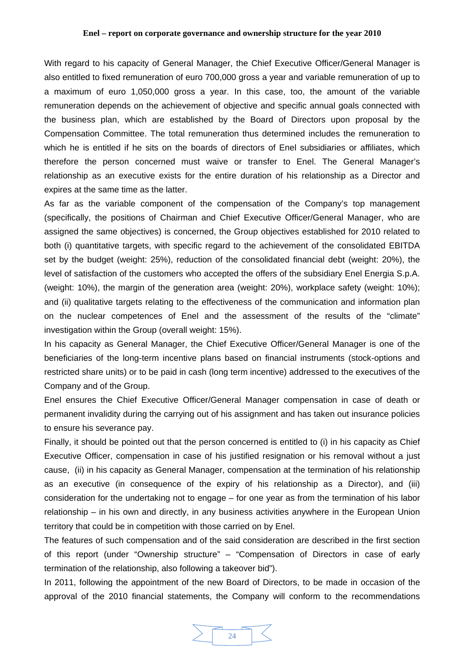With regard to his capacity of General Manager, the Chief Executive Officer/General Manager is also entitled to fixed remuneration of euro 700,000 gross a year and variable remuneration of up to a maximum of euro 1,050,000 gross a year. In this case, too, the amount of the variable remuneration depends on the achievement of objective and specific annual goals connected with the business plan, which are established by the Board of Directors upon proposal by the Compensation Committee. The total remuneration thus determined includes the remuneration to which he is entitled if he sits on the boards of directors of Enel subsidiaries or affiliates, which therefore the person concerned must waive or transfer to Enel. The General Manager's relationship as an executive exists for the entire duration of his relationship as a Director and expires at the same time as the latter.

As far as the variable component of the compensation of the Company's top management (specifically, the positions of Chairman and Chief Executive Officer/General Manager, who are assigned the same objectives) is concerned, the Group objectives established for 2010 related to both (i) quantitative targets, with specific regard to the achievement of the consolidated EBITDA set by the budget (weight: 25%), reduction of the consolidated financial debt (weight: 20%), the level of satisfaction of the customers who accepted the offers of the subsidiary Enel Energia S.p.A. (weight: 10%), the margin of the generation area (weight: 20%), workplace safety (weight: 10%); and (ii) qualitative targets relating to the effectiveness of the communication and information plan on the nuclear competences of Enel and the assessment of the results of the "climate" investigation within the Group (overall weight: 15%).

In his capacity as General Manager, the Chief Executive Officer/General Manager is one of the beneficiaries of the long-term incentive plans based on financial instruments (stock-options and restricted share units) or to be paid in cash (long term incentive) addressed to the executives of the Company and of the Group.

Enel ensures the Chief Executive Officer/General Manager compensation in case of death or permanent invalidity during the carrying out of his assignment and has taken out insurance policies to ensure his severance pay.

Finally, it should be pointed out that the person concerned is entitled to (i) in his capacity as Chief Executive Officer, compensation in case of his justified resignation or his removal without a just cause, (ii) in his capacity as General Manager, compensation at the termination of his relationship as an executive (in consequence of the expiry of his relationship as a Director), and (iii) consideration for the undertaking not to engage – for one year as from the termination of his labor relationship – in his own and directly, in any business activities anywhere in the European Union territory that could be in competition with those carried on by Enel.

The features of such compensation and of the said consideration are described in the first section of this report (under "Ownership structure" – "Compensation of Directors in case of early termination of the relationship, also following a takeover bid").

In 2011, following the appointment of the new Board of Directors, to be made in occasion of the approval of the 2010 financial statements, the Company will conform to the recommendations

![](_page_23_Figure_8.jpeg)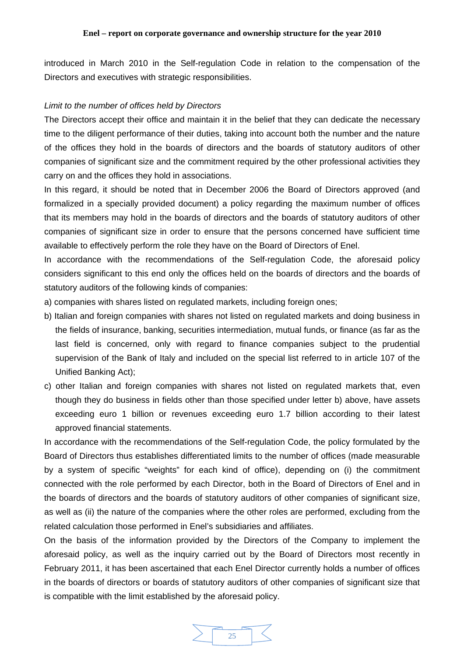introduced in March 2010 in the Self-regulation Code in relation to the compensation of the Directors and executives with strategic responsibilities.

#### *Limit to the number of offices held by Directors*

The Directors accept their office and maintain it in the belief that they can dedicate the necessary time to the diligent performance of their duties, taking into account both the number and the nature of the offices they hold in the boards of directors and the boards of statutory auditors of other companies of significant size and the commitment required by the other professional activities they carry on and the offices they hold in associations.

In this regard, it should be noted that in December 2006 the Board of Directors approved (and formalized in a specially provided document) a policy regarding the maximum number of offices that its members may hold in the boards of directors and the boards of statutory auditors of other companies of significant size in order to ensure that the persons concerned have sufficient time available to effectively perform the role they have on the Board of Directors of Enel.

In accordance with the recommendations of the Self-regulation Code, the aforesaid policy considers significant to this end only the offices held on the boards of directors and the boards of statutory auditors of the following kinds of companies:

a) companies with shares listed on regulated markets, including foreign ones;

- b) Italian and foreign companies with shares not listed on regulated markets and doing business in the fields of insurance, banking, securities intermediation, mutual funds, or finance (as far as the last field is concerned, only with regard to finance companies subject to the prudential supervision of the Bank of Italy and included on the special list referred to in article 107 of the Unified Banking Act);
- c) other Italian and foreign companies with shares not listed on regulated markets that, even though they do business in fields other than those specified under letter b) above, have assets exceeding euro 1 billion or revenues exceeding euro 1.7 billion according to their latest approved financial statements.

In accordance with the recommendations of the Self-regulation Code, the policy formulated by the Board of Directors thus establishes differentiated limits to the number of offices (made measurable by a system of specific "weights" for each kind of office), depending on (i) the commitment connected with the role performed by each Director, both in the Board of Directors of Enel and in the boards of directors and the boards of statutory auditors of other companies of significant size, as well as (ii) the nature of the companies where the other roles are performed, excluding from the related calculation those performed in Enel's subsidiaries and affiliates.

On the basis of the information provided by the Directors of the Company to implement the aforesaid policy, as well as the inquiry carried out by the Board of Directors most recently in February 2011, it has been ascertained that each Enel Director currently holds a number of offices in the boards of directors or boards of statutory auditors of other companies of significant size that is compatible with the limit established by the aforesaid policy.

![](_page_24_Figure_11.jpeg)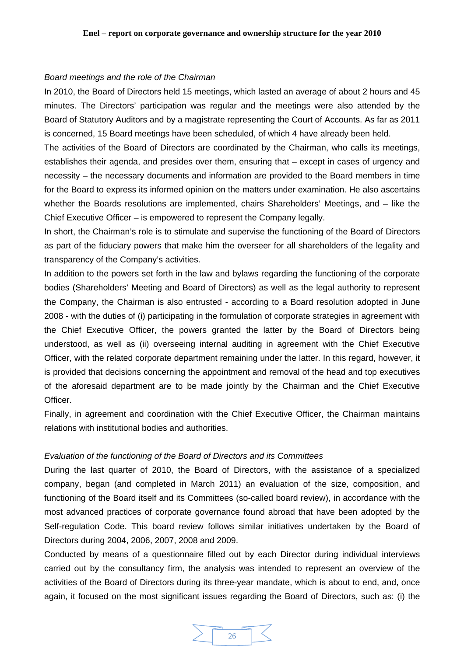# *Board meetings and the role of the Chairman*

In 2010, the Board of Directors held 15 meetings, which lasted an average of about 2 hours and 45 minutes. The Directors' participation was regular and the meetings were also attended by the Board of Statutory Auditors and by a magistrate representing the Court of Accounts. As far as 2011 is concerned, 15 Board meetings have been scheduled, of which 4 have already been held.

The activities of the Board of Directors are coordinated by the Chairman, who calls its meetings, establishes their agenda, and presides over them, ensuring that – except in cases of urgency and necessity – the necessary documents and information are provided to the Board members in time for the Board to express its informed opinion on the matters under examination. He also ascertains whether the Boards resolutions are implemented, chairs Shareholders' Meetings, and – like the Chief Executive Officer – is empowered to represent the Company legally.

In short, the Chairman's role is to stimulate and supervise the functioning of the Board of Directors as part of the fiduciary powers that make him the overseer for all shareholders of the legality and transparency of the Company's activities.

In addition to the powers set forth in the law and bylaws regarding the functioning of the corporate bodies (Shareholders' Meeting and Board of Directors) as well as the legal authority to represent the Company, the Chairman is also entrusted - according to a Board resolution adopted in June 2008 - with the duties of (i) participating in the formulation of corporate strategies in agreement with the Chief Executive Officer, the powers granted the latter by the Board of Directors being understood, as well as (ii) overseeing internal auditing in agreement with the Chief Executive Officer, with the related corporate department remaining under the latter. In this regard, however, it is provided that decisions concerning the appointment and removal of the head and top executives of the aforesaid department are to be made jointly by the Chairman and the Chief Executive Officer.

Finally, in agreement and coordination with the Chief Executive Officer, the Chairman maintains relations with institutional bodies and authorities.

# *Evaluation of the functioning of the Board of Directors and its Committees*

During the last quarter of 2010, the Board of Directors, with the assistance of a specialized company, began (and completed in March 2011) an evaluation of the size, composition, and functioning of the Board itself and its Committees (so-called board review), in accordance with the most advanced practices of corporate governance found abroad that have been adopted by the Self-regulation Code. This board review follows similar initiatives undertaken by the Board of Directors during 2004, 2006, 2007, 2008 and 2009.

Conducted by means of a questionnaire filled out by each Director during individual interviews carried out by the consultancy firm, the analysis was intended to represent an overview of the activities of the Board of Directors during its three-year mandate, which is about to end, and, once again, it focused on the most significant issues regarding the Board of Directors, such as: (i) the

![](_page_25_Figure_10.jpeg)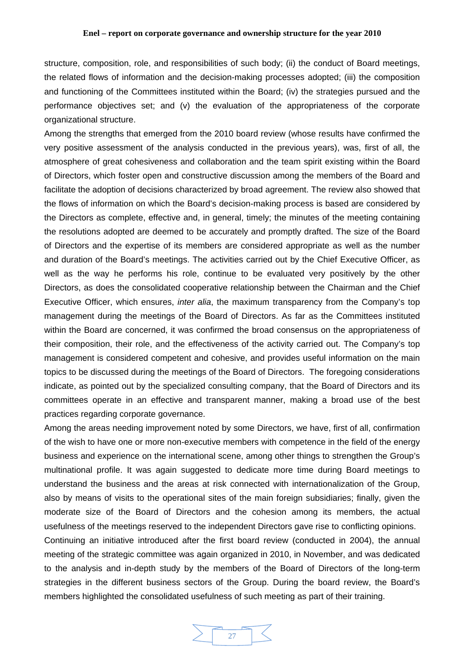structure, composition, role, and responsibilities of such body; (ii) the conduct of Board meetings, the related flows of information and the decision-making processes adopted; (iii) the composition and functioning of the Committees instituted within the Board; (iv) the strategies pursued and the performance objectives set; and (v) the evaluation of the appropriateness of the corporate organizational structure.

Among the strengths that emerged from the 2010 board review (whose results have confirmed the very positive assessment of the analysis conducted in the previous years), was, first of all, the atmosphere of great cohesiveness and collaboration and the team spirit existing within the Board of Directors, which foster open and constructive discussion among the members of the Board and facilitate the adoption of decisions characterized by broad agreement. The review also showed that the flows of information on which the Board's decision-making process is based are considered by the Directors as complete, effective and, in general, timely; the minutes of the meeting containing the resolutions adopted are deemed to be accurately and promptly drafted. The size of the Board of Directors and the expertise of its members are considered appropriate as well as the number and duration of the Board's meetings. The activities carried out by the Chief Executive Officer, as well as the way he performs his role, continue to be evaluated very positively by the other Directors, as does the consolidated cooperative relationship between the Chairman and the Chief Executive Officer, which ensures, *inter alia*, the maximum transparency from the Company's top management during the meetings of the Board of Directors. As far as the Committees instituted within the Board are concerned, it was confirmed the broad consensus on the appropriateness of their composition, their role, and the effectiveness of the activity carried out. The Company's top management is considered competent and cohesive, and provides useful information on the main topics to be discussed during the meetings of the Board of Directors. The foregoing considerations indicate, as pointed out by the specialized consulting company, that the Board of Directors and its committees operate in an effective and transparent manner, making a broad use of the best practices regarding corporate governance.

Among the areas needing improvement noted by some Directors, we have, first of all, confirmation of the wish to have one or more non-executive members with competence in the field of the energy business and experience on the international scene, among other things to strengthen the Group's multinational profile. It was again suggested to dedicate more time during Board meetings to understand the business and the areas at risk connected with internationalization of the Group, also by means of visits to the operational sites of the main foreign subsidiaries; finally, given the moderate size of the Board of Directors and the cohesion among its members, the actual usefulness of the meetings reserved to the independent Directors gave rise to conflicting opinions.

Continuing an initiative introduced after the first board review (conducted in 2004), the annual meeting of the strategic committee was again organized in 2010, in November, and was dedicated to the analysis and in-depth study by the members of the Board of Directors of the long-term strategies in the different business sectors of the Group. During the board review, the Board's members highlighted the consolidated usefulness of such meeting as part of their training.

![](_page_26_Picture_5.jpeg)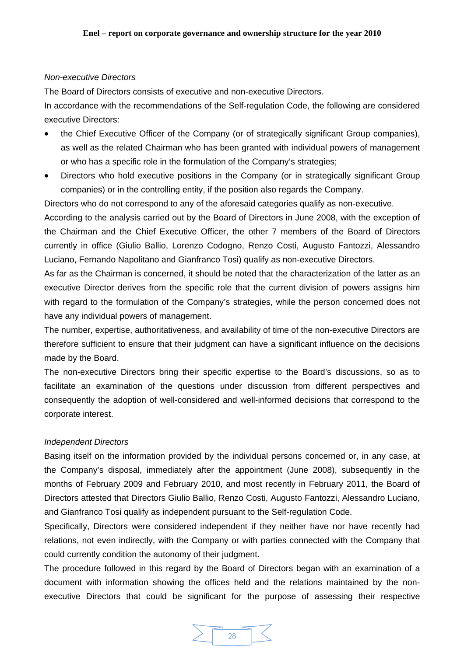# *Non-executive Directors*

The Board of Directors consists of executive and non-executive Directors.

In accordance with the recommendations of the Self-regulation Code, the following are considered executive Directors:

- the Chief Executive Officer of the Company (or of strategically significant Group companies), as well as the related Chairman who has been granted with individual powers of management or who has a specific role in the formulation of the Company's strategies;
- Directors who hold executive positions in the Company (or in strategically significant Group companies) or in the controlling entity, if the position also regards the Company.

Directors who do not correspond to any of the aforesaid categories qualify as non-executive.

According to the analysis carried out by the Board of Directors in June 2008, with the exception of the Chairman and the Chief Executive Officer, the other 7 members of the Board of Directors currently in office (Giulio Ballio, Lorenzo Codogno, Renzo Costi, Augusto Fantozzi, Alessandro Luciano, Fernando Napolitano and Gianfranco Tosi) qualify as non-executive Directors.

As far as the Chairman is concerned, it should be noted that the characterization of the latter as an executive Director derives from the specific role that the current division of powers assigns him with regard to the formulation of the Company's strategies, while the person concerned does not have any individual powers of management.

The number, expertise, authoritativeness, and availability of time of the non-executive Directors are therefore sufficient to ensure that their judgment can have a significant influence on the decisions made by the Board.

The non-executive Directors bring their specific expertise to the Board's discussions, so as to facilitate an examination of the questions under discussion from different perspectives and consequently the adoption of well-considered and well-informed decisions that correspond to the corporate interest.

# *Independent Directors*

Basing itself on the information provided by the individual persons concerned or, in any case, at the Company's disposal, immediately after the appointment (June 2008), subsequently in the months of February 2009 and February 2010, and most recently in February 2011, the Board of Directors attested that Directors Giulio Ballio, Renzo Costi, Augusto Fantozzi, Alessandro Luciano, and Gianfranco Tosi qualify as independent pursuant to the Self-regulation Code.

Specifically, Directors were considered independent if they neither have nor have recently had relations, not even indirectly, with the Company or with parties connected with the Company that could currently condition the autonomy of their judgment.

The procedure followed in this regard by the Board of Directors began with an examination of a document with information showing the offices held and the relations maintained by the nonexecutive Directors that could be significant for the purpose of assessing their respective

![](_page_27_Figure_15.jpeg)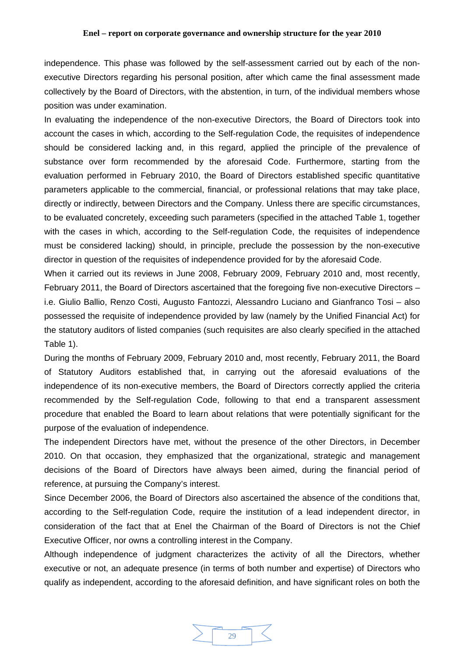independence. This phase was followed by the self-assessment carried out by each of the nonexecutive Directors regarding his personal position, after which came the final assessment made collectively by the Board of Directors, with the abstention, in turn, of the individual members whose position was under examination.

In evaluating the independence of the non-executive Directors, the Board of Directors took into account the cases in which, according to the Self-regulation Code, the requisites of independence should be considered lacking and, in this regard, applied the principle of the prevalence of substance over form recommended by the aforesaid Code. Furthermore, starting from the evaluation performed in February 2010, the Board of Directors established specific quantitative parameters applicable to the commercial, financial, or professional relations that may take place, directly or indirectly, between Directors and the Company. Unless there are specific circumstances, to be evaluated concretely, exceeding such parameters (specified in the attached Table 1, together with the cases in which, according to the Self-regulation Code, the requisites of independence must be considered lacking) should, in principle, preclude the possession by the non-executive director in question of the requisites of independence provided for by the aforesaid Code.

When it carried out its reviews in June 2008, February 2009, February 2010 and, most recently, February 2011, the Board of Directors ascertained that the foregoing five non-executive Directors – i.e. Giulio Ballio, Renzo Costi, Augusto Fantozzi, Alessandro Luciano and Gianfranco Tosi – also possessed the requisite of independence provided by law (namely by the Unified Financial Act) for the statutory auditors of listed companies (such requisites are also clearly specified in the attached Table 1).

During the months of February 2009, February 2010 and, most recently, February 2011, the Board of Statutory Auditors established that, in carrying out the aforesaid evaluations of the independence of its non-executive members, the Board of Directors correctly applied the criteria recommended by the Self-regulation Code, following to that end a transparent assessment procedure that enabled the Board to learn about relations that were potentially significant for the purpose of the evaluation of independence.

The independent Directors have met, without the presence of the other Directors, in December 2010. On that occasion, they emphasized that the organizational, strategic and management decisions of the Board of Directors have always been aimed, during the financial period of reference, at pursuing the Company's interest.

Since December 2006, the Board of Directors also ascertained the absence of the conditions that, according to the Self-regulation Code, require the institution of a lead independent director, in consideration of the fact that at Enel the Chairman of the Board of Directors is not the Chief Executive Officer, nor owns a controlling interest in the Company.

Although independence of judgment characterizes the activity of all the Directors, whether executive or not, an adequate presence (in terms of both number and expertise) of Directors who qualify as independent, according to the aforesaid definition, and have significant roles on both the

![](_page_28_Figure_8.jpeg)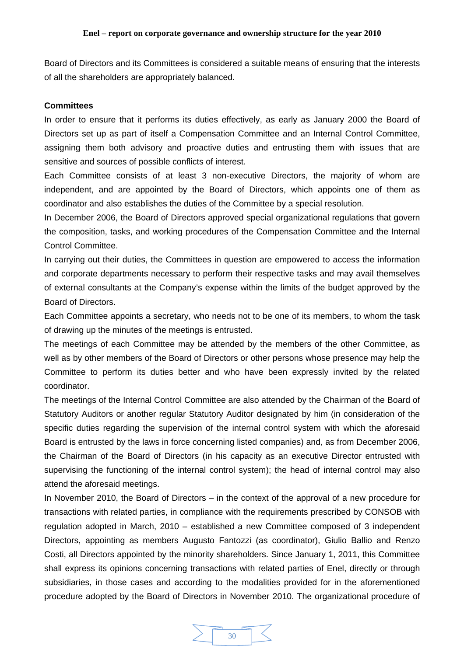Board of Directors and its Committees is considered a suitable means of ensuring that the interests of all the shareholders are appropriately balanced.

# **Committees**

In order to ensure that it performs its duties effectively, as early as January 2000 the Board of Directors set up as part of itself a Compensation Committee and an Internal Control Committee, assigning them both advisory and proactive duties and entrusting them with issues that are sensitive and sources of possible conflicts of interest.

Each Committee consists of at least 3 non-executive Directors, the majority of whom are independent, and are appointed by the Board of Directors, which appoints one of them as coordinator and also establishes the duties of the Committee by a special resolution.

In December 2006, the Board of Directors approved special organizational regulations that govern the composition, tasks, and working procedures of the Compensation Committee and the Internal Control Committee.

In carrying out their duties, the Committees in question are empowered to access the information and corporate departments necessary to perform their respective tasks and may avail themselves of external consultants at the Company's expense within the limits of the budget approved by the Board of Directors.

Each Committee appoints a secretary, who needs not to be one of its members, to whom the task of drawing up the minutes of the meetings is entrusted.

The meetings of each Committee may be attended by the members of the other Committee, as well as by other members of the Board of Directors or other persons whose presence may help the Committee to perform its duties better and who have been expressly invited by the related coordinator.

The meetings of the Internal Control Committee are also attended by the Chairman of the Board of Statutory Auditors or another regular Statutory Auditor designated by him (in consideration of the specific duties regarding the supervision of the internal control system with which the aforesaid Board is entrusted by the laws in force concerning listed companies) and, as from December 2006, the Chairman of the Board of Directors (in his capacity as an executive Director entrusted with supervising the functioning of the internal control system); the head of internal control may also attend the aforesaid meetings.

In November 2010, the Board of Directors – in the context of the approval of a new procedure for transactions with related parties, in compliance with the requirements prescribed by CONSOB with regulation adopted in March, 2010 – established a new Committee composed of 3 independent Directors, appointing as members Augusto Fantozzi (as coordinator), Giulio Ballio and Renzo Costi, all Directors appointed by the minority shareholders. Since January 1, 2011, this Committee shall express its opinions concerning transactions with related parties of Enel, directly or through subsidiaries, in those cases and according to the modalities provided for in the aforementioned procedure adopted by the Board of Directors in November 2010. The organizational procedure of

![](_page_29_Picture_11.jpeg)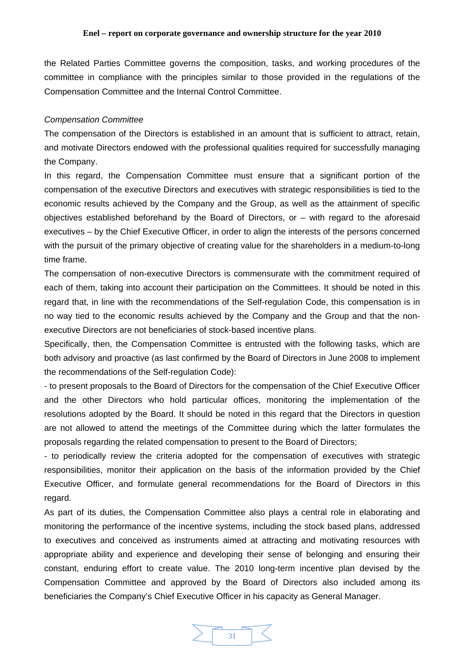the Related Parties Committee governs the composition, tasks, and working procedures of the committee in compliance with the principles similar to those provided in the regulations of the Compensation Committee and the Internal Control Committee.

## *Compensation Committee*

The compensation of the Directors is established in an amount that is sufficient to attract, retain, and motivate Directors endowed with the professional qualities required for successfully managing the Company.

In this regard, the Compensation Committee must ensure that a significant portion of the compensation of the executive Directors and executives with strategic responsibilities is tied to the economic results achieved by the Company and the Group, as well as the attainment of specific objectives established beforehand by the Board of Directors, or – with regard to the aforesaid executives – by the Chief Executive Officer, in order to align the interests of the persons concerned with the pursuit of the primary objective of creating value for the shareholders in a medium-to-long time frame.

The compensation of non-executive Directors is commensurate with the commitment required of each of them, taking into account their participation on the Committees. It should be noted in this regard that, in line with the recommendations of the Self-regulation Code, this compensation is in no way tied to the economic results achieved by the Company and the Group and that the nonexecutive Directors are not beneficiaries of stock-based incentive plans.

Specifically, then, the Compensation Committee is entrusted with the following tasks, which are both advisory and proactive (as last confirmed by the Board of Directors in June 2008 to implement the recommendations of the Self-regulation Code):

- to present proposals to the Board of Directors for the compensation of the Chief Executive Officer and the other Directors who hold particular offices, monitoring the implementation of the resolutions adopted by the Board. It should be noted in this regard that the Directors in question are not allowed to attend the meetings of the Committee during which the latter formulates the proposals regarding the related compensation to present to the Board of Directors;

- to periodically review the criteria adopted for the compensation of executives with strategic responsibilities, monitor their application on the basis of the information provided by the Chief Executive Officer, and formulate general recommendations for the Board of Directors in this regard.

As part of its duties, the Compensation Committee also plays a central role in elaborating and monitoring the performance of the incentive systems, including the stock based plans, addressed to executives and conceived as instruments aimed at attracting and motivating resources with appropriate ability and experience and developing their sense of belonging and ensuring their constant, enduring effort to create value. The 2010 long-term incentive plan devised by the Compensation Committee and approved by the Board of Directors also included among its beneficiaries the Company's Chief Executive Officer in his capacity as General Manager.

![](_page_30_Figure_10.jpeg)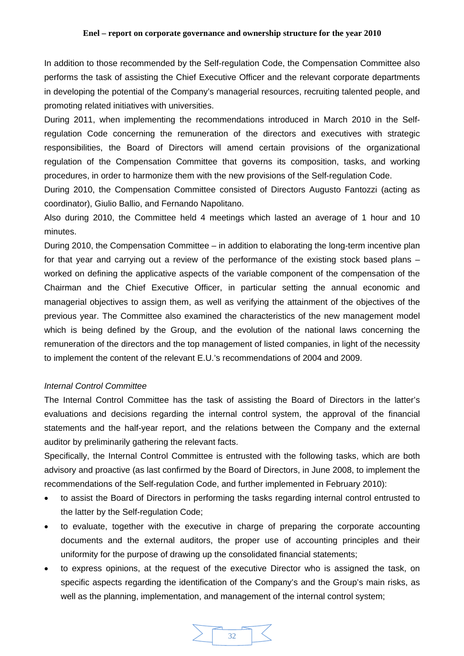In addition to those recommended by the Self-regulation Code, the Compensation Committee also performs the task of assisting the Chief Executive Officer and the relevant corporate departments in developing the potential of the Company's managerial resources, recruiting talented people, and promoting related initiatives with universities.

During 2011, when implementing the recommendations introduced in March 2010 in the Selfregulation Code concerning the remuneration of the directors and executives with strategic responsibilities, the Board of Directors will amend certain provisions of the organizational regulation of the Compensation Committee that governs its composition, tasks, and working procedures, in order to harmonize them with the new provisions of the Self-regulation Code.

During 2010, the Compensation Committee consisted of Directors Augusto Fantozzi (acting as coordinator), Giulio Ballio, and Fernando Napolitano.

Also during 2010, the Committee held 4 meetings which lasted an average of 1 hour and 10 minutes.

During 2010, the Compensation Committee – in addition to elaborating the long-term incentive plan for that year and carrying out a review of the performance of the existing stock based plans – worked on defining the applicative aspects of the variable component of the compensation of the Chairman and the Chief Executive Officer, in particular setting the annual economic and managerial objectives to assign them, as well as verifying the attainment of the objectives of the previous year. The Committee also examined the characteristics of the new management model which is being defined by the Group, and the evolution of the national laws concerning the remuneration of the directors and the top management of listed companies, in light of the necessity to implement the content of the relevant E.U.'s recommendations of 2004 and 2009.

# *Internal Control Committee*

The Internal Control Committee has the task of assisting the Board of Directors in the latter's evaluations and decisions regarding the internal control system, the approval of the financial statements and the half-year report, and the relations between the Company and the external auditor by preliminarily gathering the relevant facts.

Specifically, the Internal Control Committee is entrusted with the following tasks, which are both advisory and proactive (as last confirmed by the Board of Directors, in June 2008, to implement the recommendations of the Self-regulation Code, and further implemented in February 2010):

- to assist the Board of Directors in performing the tasks regarding internal control entrusted to the latter by the Self-regulation Code;
- to evaluate, together with the executive in charge of preparing the corporate accounting documents and the external auditors, the proper use of accounting principles and their uniformity for the purpose of drawing up the consolidated financial statements;
- to express opinions, at the request of the executive Director who is assigned the task, on specific aspects regarding the identification of the Company's and the Group's main risks, as well as the planning, implementation, and management of the internal control system;

![](_page_31_Figure_12.jpeg)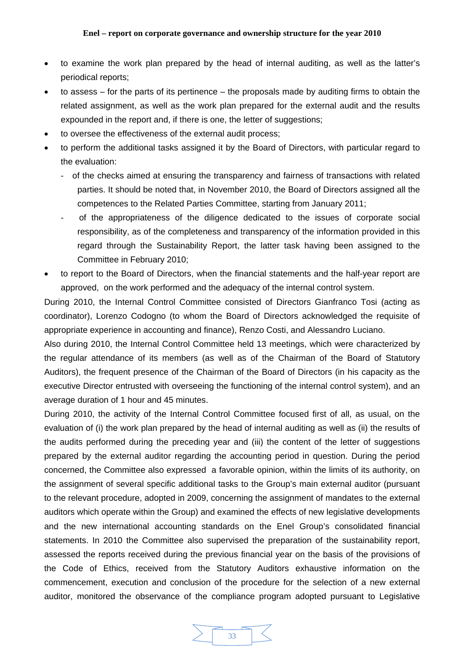- to examine the work plan prepared by the head of internal auditing, as well as the latter's periodical reports;
- to assess for the parts of its pertinence the proposals made by auditing firms to obtain the related assignment, as well as the work plan prepared for the external audit and the results expounded in the report and, if there is one, the letter of suggestions;
- to oversee the effectiveness of the external audit process;
- to perform the additional tasks assigned it by the Board of Directors, with particular regard to the evaluation:
	- of the checks aimed at ensuring the transparency and fairness of transactions with related parties. It should be noted that, in November 2010, the Board of Directors assigned all the competences to the Related Parties Committee, starting from January 2011;
	- of the appropriateness of the diligence dedicated to the issues of corporate social responsibility, as of the completeness and transparency of the information provided in this regard through the Sustainability Report, the latter task having been assigned to the Committee in February 2010;
- to report to the Board of Directors, when the financial statements and the half-year report are approved, on the work performed and the adequacy of the internal control system.

During 2010, the Internal Control Committee consisted of Directors Gianfranco Tosi (acting as coordinator), Lorenzo Codogno (to whom the Board of Directors acknowledged the requisite of appropriate experience in accounting and finance), Renzo Costi, and Alessandro Luciano.

Also during 2010, the Internal Control Committee held 13 meetings, which were characterized by the regular attendance of its members (as well as of the Chairman of the Board of Statutory Auditors), the frequent presence of the Chairman of the Board of Directors (in his capacity as the executive Director entrusted with overseeing the functioning of the internal control system), and an average duration of 1 hour and 45 minutes.

During 2010, the activity of the Internal Control Committee focused first of all, as usual, on the evaluation of (i) the work plan prepared by the head of internal auditing as well as (ii) the results of the audits performed during the preceding year and (iii) the content of the letter of suggestions prepared by the external auditor regarding the accounting period in question. During the period concerned, the Committee also expressed a favorable opinion, within the limits of its authority, on the assignment of several specific additional tasks to the Group's main external auditor (pursuant to the relevant procedure, adopted in 2009, concerning the assignment of mandates to the external auditors which operate within the Group) and examined the effects of new legislative developments and the new international accounting standards on the Enel Group's consolidated financial statements. In 2010 the Committee also supervised the preparation of the sustainability report, assessed the reports received during the previous financial year on the basis of the provisions of the Code of Ethics, received from the Statutory Auditors exhaustive information on the commencement, execution and conclusion of the procedure for the selection of a new external auditor, monitored the observance of the compliance program adopted pursuant to Legislative

![](_page_32_Picture_11.jpeg)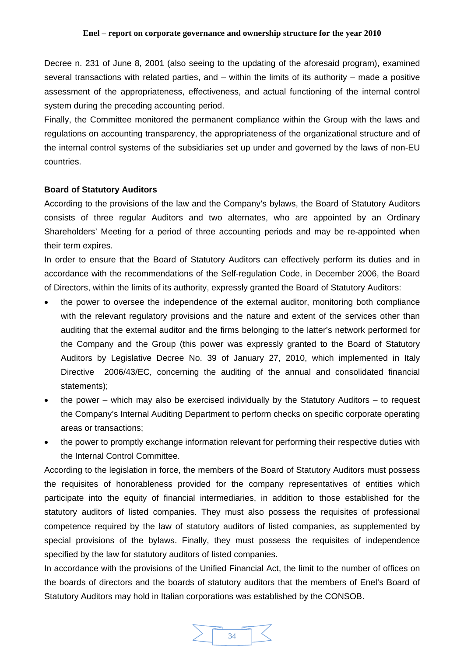Decree n. 231 of June 8, 2001 (also seeing to the updating of the aforesaid program), examined several transactions with related parties, and – within the limits of its authority – made a positive assessment of the appropriateness, effectiveness, and actual functioning of the internal control system during the preceding accounting period.

Finally, the Committee monitored the permanent compliance within the Group with the laws and regulations on accounting transparency, the appropriateness of the organizational structure and of the internal control systems of the subsidiaries set up under and governed by the laws of non-EU countries.

# **Board of Statutory Auditors**

According to the provisions of the law and the Company's bylaws, the Board of Statutory Auditors consists of three regular Auditors and two alternates, who are appointed by an Ordinary Shareholders' Meeting for a period of three accounting periods and may be re-appointed when their term expires.

In order to ensure that the Board of Statutory Auditors can effectively perform its duties and in accordance with the recommendations of the Self-regulation Code, in December 2006, the Board of Directors, within the limits of its authority, expressly granted the Board of Statutory Auditors:

- the power to oversee the independence of the external auditor, monitoring both compliance with the relevant regulatory provisions and the nature and extent of the services other than auditing that the external auditor and the firms belonging to the latter's network performed for the Company and the Group (this power was expressly granted to the Board of Statutory Auditors by Legislative Decree No. 39 of January 27, 2010, which implemented in Italy Directive 2006/43/EC, concerning the auditing of the annual and consolidated financial statements);
- the power which may also be exercised individually by the Statutory Auditors to request the Company's Internal Auditing Department to perform checks on specific corporate operating areas or transactions;
- the power to promptly exchange information relevant for performing their respective duties with the Internal Control Committee.

According to the legislation in force, the members of the Board of Statutory Auditors must possess the requisites of honorableness provided for the company representatives of entities which participate into the equity of financial intermediaries, in addition to those established for the statutory auditors of listed companies. They must also possess the requisites of professional competence required by the law of statutory auditors of listed companies, as supplemented by special provisions of the bylaws. Finally, they must possess the requisites of independence specified by the law for statutory auditors of listed companies.

In accordance with the provisions of the Unified Financial Act, the limit to the number of offices on the boards of directors and the boards of statutory auditors that the members of Enel's Board of Statutory Auditors may hold in Italian corporations was established by the CONSOB.

![](_page_33_Figure_11.jpeg)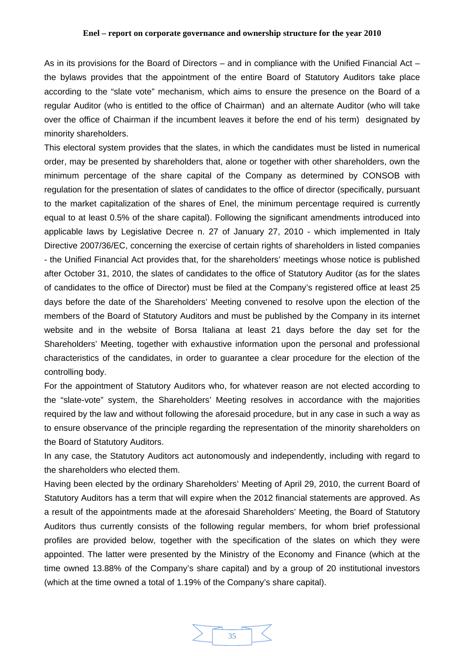As in its provisions for the Board of Directors – and in compliance with the Unified Financial Act – the bylaws provides that the appointment of the entire Board of Statutory Auditors take place according to the "slate vote" mechanism, which aims to ensure the presence on the Board of a regular Auditor (who is entitled to the office of Chairman) and an alternate Auditor (who will take over the office of Chairman if the incumbent leaves it before the end of his term) designated by minority shareholders.

This electoral system provides that the slates, in which the candidates must be listed in numerical order, may be presented by shareholders that, alone or together with other shareholders, own the minimum percentage of the share capital of the Company as determined by CONSOB with regulation for the presentation of slates of candidates to the office of director (specifically, pursuant to the market capitalization of the shares of Enel, the minimum percentage required is currently equal to at least 0.5% of the share capital). Following the significant amendments introduced into applicable laws by Legislative Decree n. 27 of January 27, 2010 - which implemented in Italy Directive 2007/36/EC, concerning the exercise of certain rights of shareholders in listed companies - the Unified Financial Act provides that, for the shareholders' meetings whose notice is published after October 31, 2010, the slates of candidates to the office of Statutory Auditor (as for the slates of candidates to the office of Director) must be filed at the Company's registered office at least 25 days before the date of the Shareholders' Meeting convened to resolve upon the election of the members of the Board of Statutory Auditors and must be published by the Company in its internet website and in the website of Borsa Italiana at least 21 days before the day set for the Shareholders' Meeting, together with exhaustive information upon the personal and professional characteristics of the candidates, in order to guarantee a clear procedure for the election of the controlling body.

For the appointment of Statutory Auditors who, for whatever reason are not elected according to the "slate-vote" system, the Shareholders' Meeting resolves in accordance with the majorities required by the law and without following the aforesaid procedure, but in any case in such a way as to ensure observance of the principle regarding the representation of the minority shareholders on the Board of Statutory Auditors.

In any case, the Statutory Auditors act autonomously and independently, including with regard to the shareholders who elected them.

Having been elected by the ordinary Shareholders' Meeting of April 29, 2010, the current Board of Statutory Auditors has a term that will expire when the 2012 financial statements are approved. As a result of the appointments made at the aforesaid Shareholders' Meeting, the Board of Statutory Auditors thus currently consists of the following regular members, for whom brief professional profiles are provided below, together with the specification of the slates on which they were appointed. The latter were presented by the Ministry of the Economy and Finance (which at the time owned 13.88% of the Company's share capital) and by a group of 20 institutional investors (which at the time owned a total of 1.19% of the Company's share capital).

![](_page_34_Figure_6.jpeg)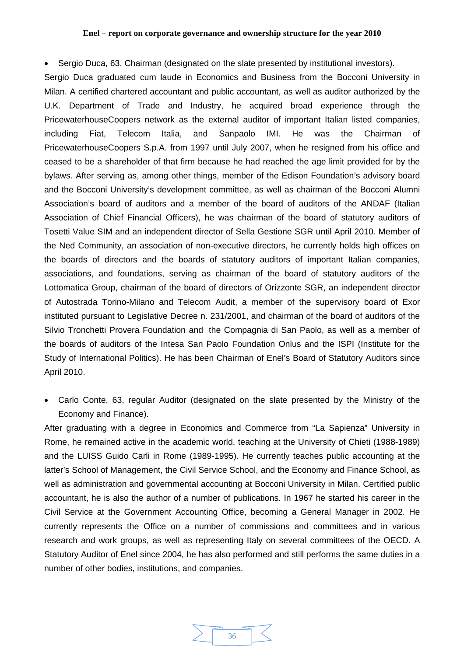• Sergio Duca, 63, Chairman (designated on the slate presented by institutional investors).

Sergio Duca graduated cum laude in Economics and Business from the Bocconi University in Milan. A certified chartered accountant and public accountant, as well as auditor authorized by the U.K. Department of Trade and Industry, he acquired broad experience through the PricewaterhouseCoopers network as the external auditor of important Italian listed companies, including Fiat, Telecom Italia, and Sanpaolo IMI. He was the Chairman of PricewaterhouseCoopers S.p.A. from 1997 until July 2007, when he resigned from his office and ceased to be a shareholder of that firm because he had reached the age limit provided for by the bylaws. After serving as, among other things, member of the Edison Foundation's advisory board and the Bocconi University's development committee, as well as chairman of the Bocconi Alumni Association's board of auditors and a member of the board of auditors of the ANDAF (Italian Association of Chief Financial Officers), he was chairman of the board of statutory auditors of Tosetti Value SIM and an independent director of Sella Gestione SGR until April 2010. Member of the Ned Community, an association of non-executive directors, he currently holds high offices on the boards of directors and the boards of statutory auditors of important Italian companies, associations, and foundations, serving as chairman of the board of statutory auditors of the Lottomatica Group, chairman of the board of directors of Orizzonte SGR, an independent director of Autostrada Torino-Milano and Telecom Audit, a member of the supervisory board of Exor instituted pursuant to Legislative Decree n. 231/2001, and chairman of the board of auditors of the Silvio Tronchetti Provera Foundation and the Compagnia di San Paolo, as well as a member of the boards of auditors of the Intesa San Paolo Foundation Onlus and the ISPI (Institute for the Study of International Politics). He has been Chairman of Enel's Board of Statutory Auditors since April 2010.

• Carlo Conte, 63, regular Auditor (designated on the slate presented by the Ministry of the Economy and Finance).

After graduating with a degree in Economics and Commerce from "La Sapienza" University in Rome, he remained active in the academic world, teaching at the University of Chieti (1988-1989) and the LUISS Guido Carli in Rome (1989-1995). He currently teaches public accounting at the latter's School of Management, the Civil Service School, and the Economy and Finance School, as well as administration and governmental accounting at Bocconi University in Milan. Certified public accountant, he is also the author of a number of publications. In 1967 he started his career in the Civil Service at the Government Accounting Office, becoming a General Manager in 2002. He currently represents the Office on a number of commissions and committees and in various research and work groups, as well as representing Italy on several committees of the OECD. A Statutory Auditor of Enel since 2004, he has also performed and still performs the same duties in a number of other bodies, institutions, and companies.

![](_page_35_Figure_5.jpeg)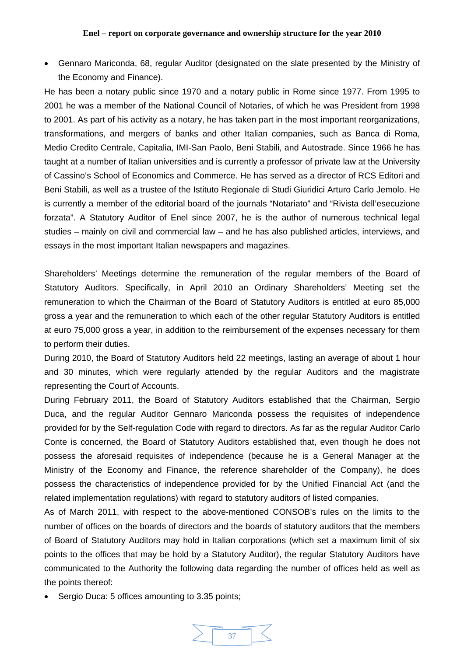• Gennaro Mariconda, 68, regular Auditor (designated on the slate presented by the Ministry of the Economy and Finance).

He has been a notary public since 1970 and a notary public in Rome since 1977. From 1995 to 2001 he was a member of the National Council of Notaries, of which he was President from 1998 to 2001. As part of his activity as a notary, he has taken part in the most important reorganizations, transformations, and mergers of banks and other Italian companies, such as Banca di Roma, Medio Credito Centrale, Capitalia, IMI-San Paolo, Beni Stabili, and Autostrade. Since 1966 he has taught at a number of Italian universities and is currently a professor of private law at the University of Cassino's School of Economics and Commerce. He has served as a director of RCS Editori and Beni Stabili, as well as a trustee of the Istituto Regionale di Studi Giuridici Arturo Carlo Jemolo. He is currently a member of the editorial board of the journals "Notariato" and "Rivista dell'esecuzione forzata". A Statutory Auditor of Enel since 2007, he is the author of numerous technical legal studies – mainly on civil and commercial law – and he has also published articles, interviews, and essays in the most important Italian newspapers and magazines.

Shareholders' Meetings determine the remuneration of the regular members of the Board of Statutory Auditors. Specifically, in April 2010 an Ordinary Shareholders' Meeting set the remuneration to which the Chairman of the Board of Statutory Auditors is entitled at euro 85,000 gross a year and the remuneration to which each of the other regular Statutory Auditors is entitled at euro 75,000 gross a year, in addition to the reimbursement of the expenses necessary for them to perform their duties.

During 2010, the Board of Statutory Auditors held 22 meetings, lasting an average of about 1 hour and 30 minutes, which were regularly attended by the regular Auditors and the magistrate representing the Court of Accounts.

During February 2011, the Board of Statutory Auditors established that the Chairman, Sergio Duca, and the regular Auditor Gennaro Mariconda possess the requisites of independence provided for by the Self-regulation Code with regard to directors. As far as the regular Auditor Carlo Conte is concerned, the Board of Statutory Auditors established that, even though he does not possess the aforesaid requisites of independence (because he is a General Manager at the Ministry of the Economy and Finance, the reference shareholder of the Company), he does possess the characteristics of independence provided for by the Unified Financial Act (and the related implementation regulations) with regard to statutory auditors of listed companies.

As of March 2011, with respect to the above-mentioned CONSOB's rules on the limits to the number of offices on the boards of directors and the boards of statutory auditors that the members of Board of Statutory Auditors may hold in Italian corporations (which set a maximum limit of six points to the offices that may be hold by a Statutory Auditor), the regular Statutory Auditors have communicated to the Authority the following data regarding the number of offices held as well as the points thereof:

Sergio Duca: 5 offices amounting to 3.35 points;

![](_page_36_Figure_8.jpeg)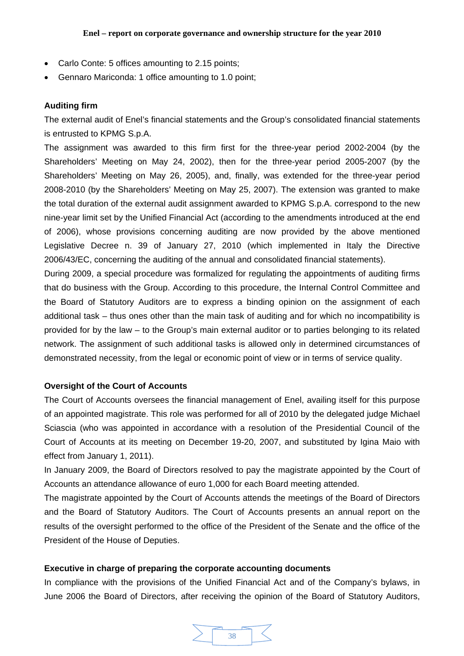- Carlo Conte: 5 offices amounting to 2.15 points;
- Gennaro Mariconda: 1 office amounting to 1.0 point;

# **Auditing firm**

The external audit of Enel's financial statements and the Group's consolidated financial statements is entrusted to KPMG S.p.A.

The assignment was awarded to this firm first for the three-year period 2002-2004 (by the Shareholders' Meeting on May 24, 2002), then for the three-year period 2005-2007 (by the Shareholders' Meeting on May 26, 2005), and, finally, was extended for the three-year period 2008-2010 (by the Shareholders' Meeting on May 25, 2007). The extension was granted to make the total duration of the external audit assignment awarded to KPMG S.p.A. correspond to the new nine-year limit set by the Unified Financial Act (according to the amendments introduced at the end of 2006), whose provisions concerning auditing are now provided by the above mentioned Legislative Decree n. 39 of January 27, 2010 (which implemented in Italy the Directive 2006/43/EC, concerning the auditing of the annual and consolidated financial statements).

During 2009, a special procedure was formalized for regulating the appointments of auditing firms that do business with the Group. According to this procedure, the Internal Control Committee and the Board of Statutory Auditors are to express a binding opinion on the assignment of each additional task – thus ones other than the main task of auditing and for which no incompatibility is provided for by the law – to the Group's main external auditor or to parties belonging to its related network. The assignment of such additional tasks is allowed only in determined circumstances of demonstrated necessity, from the legal or economic point of view or in terms of service quality.

### **Oversight of the Court of Accounts**

The Court of Accounts oversees the financial management of Enel, availing itself for this purpose of an appointed magistrate. This role was performed for all of 2010 by the delegated judge Michael Sciascia (who was appointed in accordance with a resolution of the Presidential Council of the Court of Accounts at its meeting on December 19-20, 2007, and substituted by Igina Maio with effect from January 1, 2011).

In January 2009, the Board of Directors resolved to pay the magistrate appointed by the Court of Accounts an attendance allowance of euro 1,000 for each Board meeting attended.

The magistrate appointed by the Court of Accounts attends the meetings of the Board of Directors and the Board of Statutory Auditors. The Court of Accounts presents an annual report on the results of the oversight performed to the office of the President of the Senate and the office of the President of the House of Deputies.

# **Executive in charge of preparing the corporate accounting documents**

In compliance with the provisions of the Unified Financial Act and of the Company's bylaws, in June 2006 the Board of Directors, after receiving the opinion of the Board of Statutory Auditors,

![](_page_37_Figure_13.jpeg)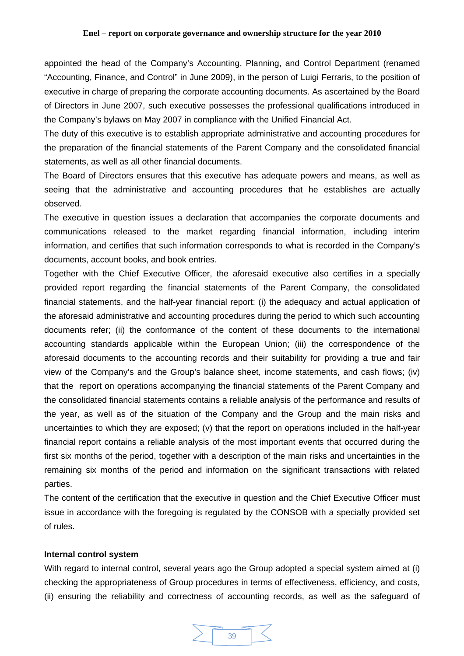appointed the head of the Company's Accounting, Planning, and Control Department (renamed "Accounting, Finance, and Control" in June 2009), in the person of Luigi Ferraris, to the position of executive in charge of preparing the corporate accounting documents. As ascertained by the Board of Directors in June 2007, such executive possesses the professional qualifications introduced in the Company's bylaws on May 2007 in compliance with the Unified Financial Act.

The duty of this executive is to establish appropriate administrative and accounting procedures for the preparation of the financial statements of the Parent Company and the consolidated financial statements, as well as all other financial documents.

The Board of Directors ensures that this executive has adequate powers and means, as well as seeing that the administrative and accounting procedures that he establishes are actually observed.

The executive in question issues a declaration that accompanies the corporate documents and communications released to the market regarding financial information, including interim information, and certifies that such information corresponds to what is recorded in the Company's documents, account books, and book entries.

Together with the Chief Executive Officer, the aforesaid executive also certifies in a specially provided report regarding the financial statements of the Parent Company, the consolidated financial statements, and the half-year financial report: (i) the adequacy and actual application of the aforesaid administrative and accounting procedures during the period to which such accounting documents refer; (ii) the conformance of the content of these documents to the international accounting standards applicable within the European Union; (iii) the correspondence of the aforesaid documents to the accounting records and their suitability for providing a true and fair view of the Company's and the Group's balance sheet, income statements, and cash flows; (iv) that the report on operations accompanying the financial statements of the Parent Company and the consolidated financial statements contains a reliable analysis of the performance and results of the year, as well as of the situation of the Company and the Group and the main risks and uncertainties to which they are exposed; (v) that the report on operations included in the half-year financial report contains a reliable analysis of the most important events that occurred during the first six months of the period, together with a description of the main risks and uncertainties in the remaining six months of the period and information on the significant transactions with related parties.

The content of the certification that the executive in question and the Chief Executive Officer must issue in accordance with the foregoing is regulated by the CONSOB with a specially provided set of rules.

### **Internal control system**

With regard to internal control, several years ago the Group adopted a special system aimed at (i) checking the appropriateness of Group procedures in terms of effectiveness, efficiency, and costs, (ii) ensuring the reliability and correctness of accounting records, as well as the safeguard of

![](_page_38_Figure_9.jpeg)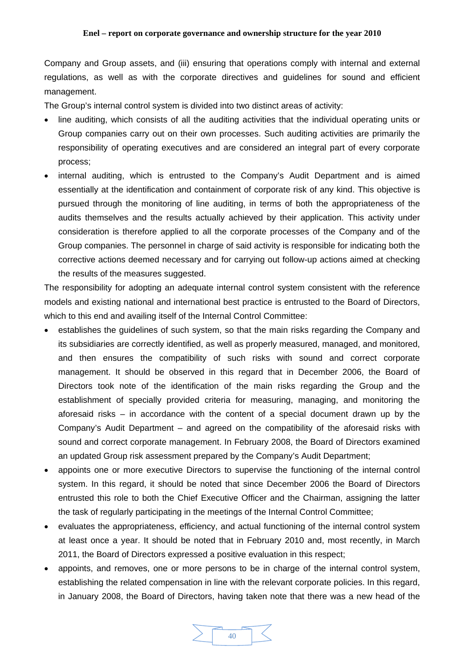Company and Group assets, and (iii) ensuring that operations comply with internal and external regulations, as well as with the corporate directives and guidelines for sound and efficient management.

The Group's internal control system is divided into two distinct areas of activity:

- line auditing, which consists of all the auditing activities that the individual operating units or Group companies carry out on their own processes. Such auditing activities are primarily the responsibility of operating executives and are considered an integral part of every corporate process;
- internal auditing, which is entrusted to the Company's Audit Department and is aimed essentially at the identification and containment of corporate risk of any kind. This objective is pursued through the monitoring of line auditing, in terms of both the appropriateness of the audits themselves and the results actually achieved by their application. This activity under consideration is therefore applied to all the corporate processes of the Company and of the Group companies. The personnel in charge of said activity is responsible for indicating both the corrective actions deemed necessary and for carrying out follow-up actions aimed at checking the results of the measures suggested.

The responsibility for adopting an adequate internal control system consistent with the reference models and existing national and international best practice is entrusted to the Board of Directors, which to this end and availing itself of the Internal Control Committee:

- establishes the guidelines of such system, so that the main risks regarding the Company and its subsidiaries are correctly identified, as well as properly measured, managed, and monitored, and then ensures the compatibility of such risks with sound and correct corporate management. It should be observed in this regard that in December 2006, the Board of Directors took note of the identification of the main risks regarding the Group and the establishment of specially provided criteria for measuring, managing, and monitoring the aforesaid risks – in accordance with the content of a special document drawn up by the Company's Audit Department – and agreed on the compatibility of the aforesaid risks with sound and correct corporate management. In February 2008, the Board of Directors examined an updated Group risk assessment prepared by the Company's Audit Department;
- appoints one or more executive Directors to supervise the functioning of the internal control system. In this regard, it should be noted that since December 2006 the Board of Directors entrusted this role to both the Chief Executive Officer and the Chairman, assigning the latter the task of regularly participating in the meetings of the Internal Control Committee;
- evaluates the appropriateness, efficiency, and actual functioning of the internal control system at least once a year. It should be noted that in February 2010 and, most recently, in March 2011, the Board of Directors expressed a positive evaluation in this respect;
- appoints, and removes, one or more persons to be in charge of the internal control system, establishing the related compensation in line with the relevant corporate policies. In this regard, in January 2008, the Board of Directors, having taken note that there was a new head of the

![](_page_39_Figure_10.jpeg)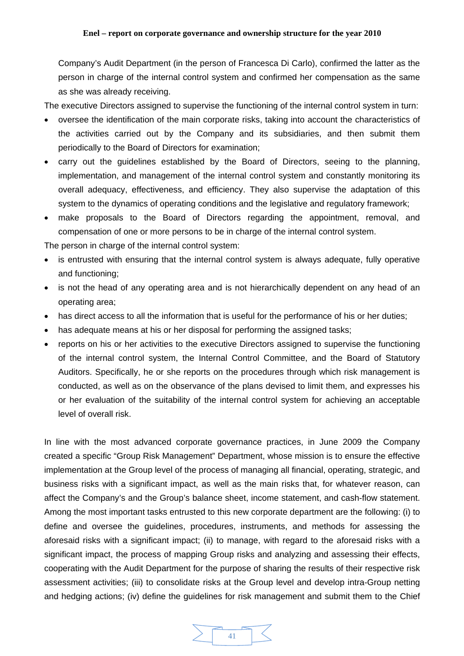Company's Audit Department (in the person of Francesca Di Carlo), confirmed the latter as the person in charge of the internal control system and confirmed her compensation as the same as she was already receiving.

The executive Directors assigned to supervise the functioning of the internal control system in turn:

- oversee the identification of the main corporate risks, taking into account the characteristics of the activities carried out by the Company and its subsidiaries, and then submit them periodically to the Board of Directors for examination;
- carry out the guidelines established by the Board of Directors, seeing to the planning, implementation, and management of the internal control system and constantly monitoring its overall adequacy, effectiveness, and efficiency. They also supervise the adaptation of this system to the dynamics of operating conditions and the legislative and regulatory framework;
- make proposals to the Board of Directors regarding the appointment, removal, and compensation of one or more persons to be in charge of the internal control system.

The person in charge of the internal control system:

- is entrusted with ensuring that the internal control system is always adequate, fully operative and functioning;
- is not the head of any operating area and is not hierarchically dependent on any head of an operating area;
- has direct access to all the information that is useful for the performance of his or her duties;
- has adequate means at his or her disposal for performing the assigned tasks;
- reports on his or her activities to the executive Directors assigned to supervise the functioning of the internal control system, the Internal Control Committee, and the Board of Statutory Auditors. Specifically, he or she reports on the procedures through which risk management is conducted, as well as on the observance of the plans devised to limit them, and expresses his or her evaluation of the suitability of the internal control system for achieving an acceptable level of overall risk.

In line with the most advanced corporate governance practices, in June 2009 the Company created a specific "Group Risk Management" Department, whose mission is to ensure the effective implementation at the Group level of the process of managing all financial, operating, strategic, and business risks with a significant impact, as well as the main risks that, for whatever reason, can affect the Company's and the Group's balance sheet, income statement, and cash-flow statement. Among the most important tasks entrusted to this new corporate department are the following: (i) to define and oversee the guidelines, procedures, instruments, and methods for assessing the aforesaid risks with a significant impact; (ii) to manage, with regard to the aforesaid risks with a significant impact, the process of mapping Group risks and analyzing and assessing their effects, cooperating with the Audit Department for the purpose of sharing the results of their respective risk assessment activities; (iii) to consolidate risks at the Group level and develop intra-Group netting and hedging actions; (iv) define the guidelines for risk management and submit them to the Chief

![](_page_40_Picture_13.jpeg)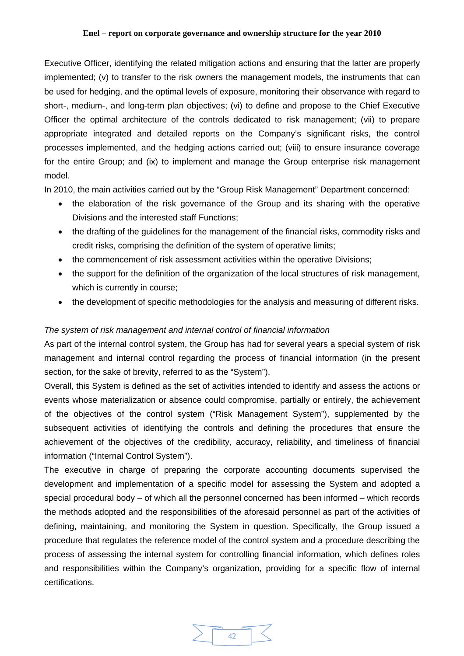Executive Officer, identifying the related mitigation actions and ensuring that the latter are properly implemented; (v) to transfer to the risk owners the management models, the instruments that can be used for hedging, and the optimal levels of exposure, monitoring their observance with regard to short-, medium-, and long-term plan objectives; (vi) to define and propose to the Chief Executive Officer the optimal architecture of the controls dedicated to risk management; (vii) to prepare appropriate integrated and detailed reports on the Company's significant risks, the control processes implemented, and the hedging actions carried out; (viii) to ensure insurance coverage for the entire Group; and (ix) to implement and manage the Group enterprise risk management model.

In 2010, the main activities carried out by the "Group Risk Management" Department concerned:

- the elaboration of the risk governance of the Group and its sharing with the operative Divisions and the interested staff Functions;
- the drafting of the guidelines for the management of the financial risks, commodity risks and credit risks, comprising the definition of the system of operative limits;
- the commencement of risk assessment activities within the operative Divisions;
- the support for the definition of the organization of the local structures of risk management, which is currently in course;
- the development of specific methodologies for the analysis and measuring of different risks.

# *The system of risk management and internal control of financial information*

As part of the internal control system, the Group has had for several years a special system of risk management and internal control regarding the process of financial information (in the present section, for the sake of brevity, referred to as the "System").

Overall, this System is defined as the set of activities intended to identify and assess the actions or events whose materialization or absence could compromise, partially or entirely, the achievement of the objectives of the control system ("Risk Management System"), supplemented by the subsequent activities of identifying the controls and defining the procedures that ensure the achievement of the objectives of the credibility, accuracy, reliability, and timeliness of financial information ("Internal Control System").

The executive in charge of preparing the corporate accounting documents supervised the development and implementation of a specific model for assessing the System and adopted a special procedural body – of which all the personnel concerned has been informed – which records the methods adopted and the responsibilities of the aforesaid personnel as part of the activities of defining, maintaining, and monitoring the System in question. Specifically, the Group issued a procedure that regulates the reference model of the control system and a procedure describing the process of assessing the internal system for controlling financial information, which defines roles and responsibilities within the Company's organization, providing for a specific flow of internal certifications.

![](_page_41_Figure_12.jpeg)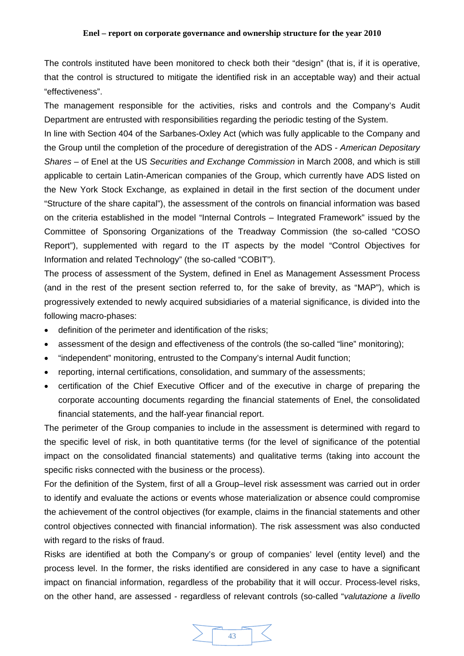The controls instituted have been monitored to check both their "design" (that is, if it is operative, that the control is structured to mitigate the identified risk in an acceptable way) and their actual "effectiveness".

The management responsible for the activities, risks and controls and the Company's Audit Department are entrusted with responsibilities regarding the periodic testing of the System.

In line with Section 404 of the Sarbanes-Oxley Act (which was fully applicable to the Company and the Group until the completion of the procedure of deregistration of the ADS - *American Depositary Shares* – of Enel at the US *Securities and Exchange Commission* in March 2008, and which is still applicable to certain Latin-American companies of the Group, which currently have ADS listed on the New York Stock Exchange*,* as explained in detail in the first section of the document under "Structure of the share capital"), the assessment of the controls on financial information was based on the criteria established in the model "Internal Controls – Integrated Framework" issued by the Committee of Sponsoring Organizations of the Treadway Commission (the so-called "COSO Report"), supplemented with regard to the IT aspects by the model "Control Objectives for Information and related Technology" (the so-called "COBIT").

The process of assessment of the System, defined in Enel as Management Assessment Process (and in the rest of the present section referred to, for the sake of brevity, as "MAP"), which is progressively extended to newly acquired subsidiaries of a material significance, is divided into the following macro-phases:

- definition of the perimeter and identification of the risks;
- assessment of the design and effectiveness of the controls (the so-called "line" monitoring);
- "independent" monitoring, entrusted to the Company's internal Audit function;
- reporting, internal certifications, consolidation, and summary of the assessments;
- certification of the Chief Executive Officer and of the executive in charge of preparing the corporate accounting documents regarding the financial statements of Enel, the consolidated financial statements, and the half-year financial report.

The perimeter of the Group companies to include in the assessment is determined with regard to the specific level of risk, in both quantitative terms (for the level of significance of the potential impact on the consolidated financial statements) and qualitative terms (taking into account the specific risks connected with the business or the process).

For the definition of the System, first of all a Group–level risk assessment was carried out in order to identify and evaluate the actions or events whose materialization or absence could compromise the achievement of the control objectives (for example, claims in the financial statements and other control objectives connected with financial information). The risk assessment was also conducted with regard to the risks of fraud.

Risks are identified at both the Company's or group of companies' level (entity level) and the process level. In the former, the risks identified are considered in any case to have a significant impact on financial information, regardless of the probability that it will occur. Process-level risks, on the other hand, are assessed - regardless of relevant controls (so-called "*valutazione a livello* 

![](_page_42_Figure_13.jpeg)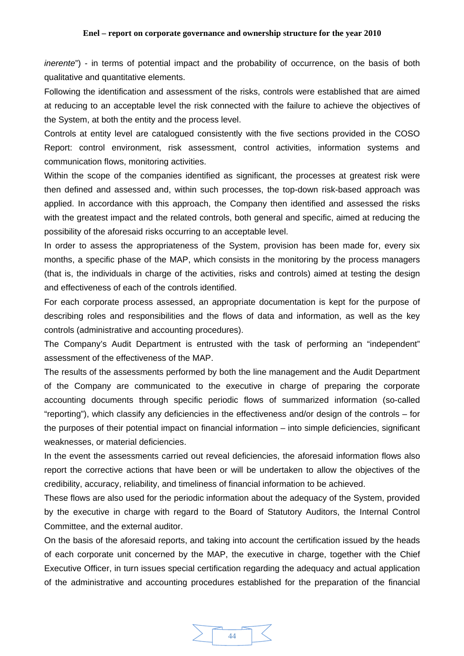*inerente*") - in terms of potential impact and the probability of occurrence, on the basis of both qualitative and quantitative elements.

Following the identification and assessment of the risks, controls were established that are aimed at reducing to an acceptable level the risk connected with the failure to achieve the objectives of the System, at both the entity and the process level.

Controls at entity level are catalogued consistently with the five sections provided in the COSO Report: control environment, risk assessment, control activities, information systems and communication flows, monitoring activities.

Within the scope of the companies identified as significant, the processes at greatest risk were then defined and assessed and, within such processes, the top-down risk-based approach was applied. In accordance with this approach, the Company then identified and assessed the risks with the greatest impact and the related controls, both general and specific, aimed at reducing the possibility of the aforesaid risks occurring to an acceptable level.

In order to assess the appropriateness of the System, provision has been made for, every six months, a specific phase of the MAP, which consists in the monitoring by the process managers (that is, the individuals in charge of the activities, risks and controls) aimed at testing the design and effectiveness of each of the controls identified.

For each corporate process assessed, an appropriate documentation is kept for the purpose of describing roles and responsibilities and the flows of data and information, as well as the key controls (administrative and accounting procedures).

The Company's Audit Department is entrusted with the task of performing an "independent" assessment of the effectiveness of the MAP.

The results of the assessments performed by both the line management and the Audit Department of the Company are communicated to the executive in charge of preparing the corporate accounting documents through specific periodic flows of summarized information (so-called "reporting"), which classify any deficiencies in the effectiveness and/or design of the controls – for the purposes of their potential impact on financial information – into simple deficiencies, significant weaknesses, or material deficiencies.

In the event the assessments carried out reveal deficiencies, the aforesaid information flows also report the corrective actions that have been or will be undertaken to allow the objectives of the credibility, accuracy, reliability, and timeliness of financial information to be achieved.

These flows are also used for the periodic information about the adequacy of the System, provided by the executive in charge with regard to the Board of Statutory Auditors, the Internal Control Committee, and the external auditor.

On the basis of the aforesaid reports, and taking into account the certification issued by the heads of each corporate unit concerned by the MAP, the executive in charge, together with the Chief Executive Officer, in turn issues special certification regarding the adequacy and actual application of the administrative and accounting procedures established for the preparation of the financial

![](_page_43_Figure_12.jpeg)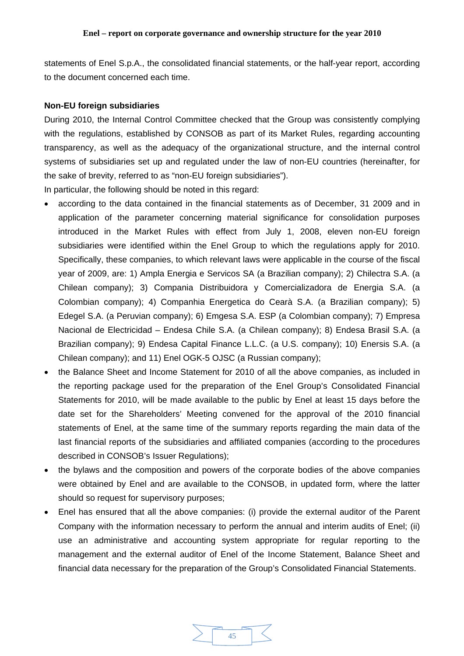statements of Enel S.p.A., the consolidated financial statements, or the half-year report, according to the document concerned each time.

#### **Non-EU foreign subsidiaries**

During 2010, the Internal Control Committee checked that the Group was consistently complying with the regulations, established by CONSOB as part of its Market Rules, regarding accounting transparency, as well as the adequacy of the organizational structure, and the internal control systems of subsidiaries set up and regulated under the law of non-EU countries (hereinafter, for the sake of brevity, referred to as "non-EU foreign subsidiaries").

In particular, the following should be noted in this regard:

- according to the data contained in the financial statements as of December, 31 2009 and in application of the parameter concerning material significance for consolidation purposes introduced in the Market Rules with effect from July 1, 2008, eleven non-EU foreign subsidiaries were identified within the Enel Group to which the regulations apply for 2010. Specifically, these companies, to which relevant laws were applicable in the course of the fiscal year of 2009, are: 1) Ampla Energia e Servicos SA (a Brazilian company); 2) Chilectra S.A. (a Chilean company); 3) Compania Distribuidora y Comercializadora de Energia S.A. (a Colombian company); 4) Companhia Energetica do Cearà S.A. (a Brazilian company); 5) Edegel S.A. (a Peruvian company); 6) Emgesa S.A. ESP (a Colombian company); 7) Empresa Nacional de Electricidad – Endesa Chile S.A. (a Chilean company); 8) Endesa Brasil S.A. (a Brazilian company); 9) Endesa Capital Finance L.L.C. (a U.S. company); 10) Enersis S.A. (a Chilean company); and 11) Enel OGK-5 OJSC (a Russian company);
- the Balance Sheet and Income Statement for 2010 of all the above companies, as included in the reporting package used for the preparation of the Enel Group's Consolidated Financial Statements for 2010, will be made available to the public by Enel at least 15 days before the date set for the Shareholders' Meeting convened for the approval of the 2010 financial statements of Enel, at the same time of the summary reports regarding the main data of the last financial reports of the subsidiaries and affiliated companies (according to the procedures described in CONSOB's Issuer Regulations);
- the bylaws and the composition and powers of the corporate bodies of the above companies were obtained by Enel and are available to the CONSOB, in updated form, where the latter should so request for supervisory purposes;
- Enel has ensured that all the above companies: (i) provide the external auditor of the Parent Company with the information necessary to perform the annual and interim audits of Enel; (ii) use an administrative and accounting system appropriate for regular reporting to the management and the external auditor of Enel of the Income Statement, Balance Sheet and financial data necessary for the preparation of the Group's Consolidated Financial Statements.

![](_page_44_Figure_9.jpeg)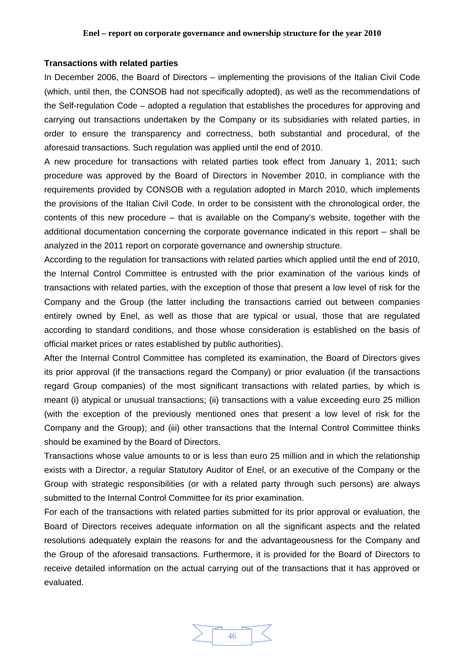#### **Transactions with related parties**

In December 2006, the Board of Directors – implementing the provisions of the Italian Civil Code (which, until then, the CONSOB had not specifically adopted), as well as the recommendations of the Self-regulation Code – adopted a regulation that establishes the procedures for approving and carrying out transactions undertaken by the Company or its subsidiaries with related parties, in order to ensure the transparency and correctness, both substantial and procedural, of the aforesaid transactions. Such regulation was applied until the end of 2010.

A new procedure for transactions with related parties took effect from January 1, 2011; such procedure was approved by the Board of Directors in November 2010, in compliance with the requirements provided by CONSOB with a regulation adopted in March 2010, which implements the provisions of the Italian Civil Code. In order to be consistent with the chronological order, the contents of this new procedure – that is available on the Company's website, together with the additional documentation concerning the corporate governance indicated in this report – shall be analyzed in the 2011 report on corporate governance and ownership structure.

According to the regulation for transactions with related parties which applied until the end of 2010, the Internal Control Committee is entrusted with the prior examination of the various kinds of transactions with related parties, with the exception of those that present a low level of risk for the Company and the Group (the latter including the transactions carried out between companies entirely owned by Enel, as well as those that are typical or usual, those that are regulated according to standard conditions, and those whose consideration is established on the basis of official market prices or rates established by public authorities).

After the Internal Control Committee has completed its examination, the Board of Directors gives its prior approval (if the transactions regard the Company) or prior evaluation (if the transactions regard Group companies) of the most significant transactions with related parties, by which is meant (i) atypical or unusual transactions; (ii) transactions with a value exceeding euro 25 million (with the exception of the previously mentioned ones that present a low level of risk for the Company and the Group); and (iii) other transactions that the Internal Control Committee thinks should be examined by the Board of Directors.

Transactions whose value amounts to or is less than euro 25 million and in which the relationship exists with a Director, a regular Statutory Auditor of Enel, or an executive of the Company or the Group with strategic responsibilities (or with a related party through such persons) are always submitted to the Internal Control Committee for its prior examination.

For each of the transactions with related parties submitted for its prior approval or evaluation, the Board of Directors receives adequate information on all the significant aspects and the related resolutions adequately explain the reasons for and the advantageousness for the Company and the Group of the aforesaid transactions. Furthermore, it is provided for the Board of Directors to receive detailed information on the actual carrying out of the transactions that it has approved or evaluated.

![](_page_45_Figure_8.jpeg)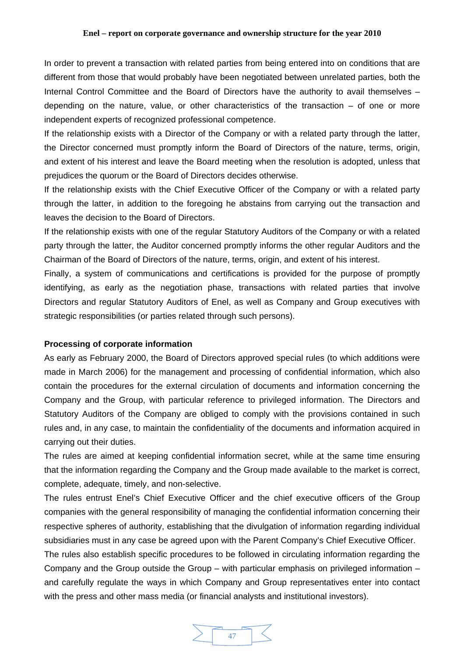In order to prevent a transaction with related parties from being entered into on conditions that are different from those that would probably have been negotiated between unrelated parties, both the Internal Control Committee and the Board of Directors have the authority to avail themselves – depending on the nature, value, or other characteristics of the transaction – of one or more independent experts of recognized professional competence.

If the relationship exists with a Director of the Company or with a related party through the latter, the Director concerned must promptly inform the Board of Directors of the nature, terms, origin, and extent of his interest and leave the Board meeting when the resolution is adopted, unless that prejudices the quorum or the Board of Directors decides otherwise.

If the relationship exists with the Chief Executive Officer of the Company or with a related party through the latter, in addition to the foregoing he abstains from carrying out the transaction and leaves the decision to the Board of Directors.

If the relationship exists with one of the regular Statutory Auditors of the Company or with a related party through the latter, the Auditor concerned promptly informs the other regular Auditors and the Chairman of the Board of Directors of the nature, terms, origin, and extent of his interest.

Finally, a system of communications and certifications is provided for the purpose of promptly identifying, as early as the negotiation phase, transactions with related parties that involve Directors and regular Statutory Auditors of Enel, as well as Company and Group executives with strategic responsibilities (or parties related through such persons).

### **Processing of corporate information**

As early as February 2000, the Board of Directors approved special rules (to which additions were made in March 2006) for the management and processing of confidential information, which also contain the procedures for the external circulation of documents and information concerning the Company and the Group, with particular reference to privileged information. The Directors and Statutory Auditors of the Company are obliged to comply with the provisions contained in such rules and, in any case, to maintain the confidentiality of the documents and information acquired in carrying out their duties.

The rules are aimed at keeping confidential information secret, while at the same time ensuring that the information regarding the Company and the Group made available to the market is correct, complete, adequate, timely, and non-selective.

The rules entrust Enel's Chief Executive Officer and the chief executive officers of the Group companies with the general responsibility of managing the confidential information concerning their respective spheres of authority, establishing that the divulgation of information regarding individual subsidiaries must in any case be agreed upon with the Parent Company's Chief Executive Officer.

The rules also establish specific procedures to be followed in circulating information regarding the Company and the Group outside the Group – with particular emphasis on privileged information – and carefully regulate the ways in which Company and Group representatives enter into contact with the press and other mass media (or financial analysts and institutional investors).

![](_page_46_Figure_11.jpeg)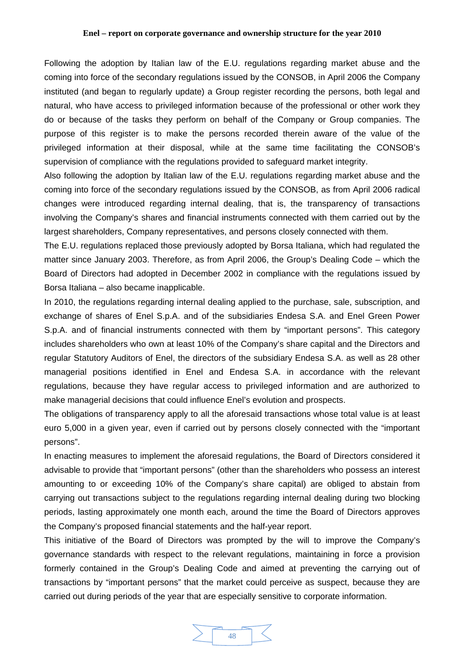Following the adoption by Italian law of the E.U. regulations regarding market abuse and the coming into force of the secondary regulations issued by the CONSOB, in April 2006 the Company instituted (and began to regularly update) a Group register recording the persons, both legal and natural, who have access to privileged information because of the professional or other work they do or because of the tasks they perform on behalf of the Company or Group companies. The purpose of this register is to make the persons recorded therein aware of the value of the privileged information at their disposal, while at the same time facilitating the CONSOB's supervision of compliance with the regulations provided to safeguard market integrity.

Also following the adoption by Italian law of the E.U. regulations regarding market abuse and the coming into force of the secondary regulations issued by the CONSOB, as from April 2006 radical changes were introduced regarding internal dealing, that is, the transparency of transactions involving the Company's shares and financial instruments connected with them carried out by the largest shareholders, Company representatives, and persons closely connected with them.

The E.U. regulations replaced those previously adopted by Borsa Italiana, which had regulated the matter since January 2003. Therefore, as from April 2006, the Group's Dealing Code – which the Board of Directors had adopted in December 2002 in compliance with the regulations issued by Borsa Italiana – also became inapplicable.

In 2010, the regulations regarding internal dealing applied to the purchase, sale, subscription, and exchange of shares of Enel S.p.A. and of the subsidiaries Endesa S.A. and Enel Green Power S.p.A. and of financial instruments connected with them by "important persons". This category includes shareholders who own at least 10% of the Company's share capital and the Directors and regular Statutory Auditors of Enel, the directors of the subsidiary Endesa S.A. as well as 28 other managerial positions identified in Enel and Endesa S.A. in accordance with the relevant regulations, because they have regular access to privileged information and are authorized to make managerial decisions that could influence Enel's evolution and prospects.

The obligations of transparency apply to all the aforesaid transactions whose total value is at least euro 5,000 in a given year, even if carried out by persons closely connected with the "important persons".

In enacting measures to implement the aforesaid regulations, the Board of Directors considered it advisable to provide that "important persons" (other than the shareholders who possess an interest amounting to or exceeding 10% of the Company's share capital) are obliged to abstain from carrying out transactions subject to the regulations regarding internal dealing during two blocking periods, lasting approximately one month each, around the time the Board of Directors approves the Company's proposed financial statements and the half-year report.

This initiative of the Board of Directors was prompted by the will to improve the Company's governance standards with respect to the relevant regulations, maintaining in force a provision formerly contained in the Group's Dealing Code and aimed at preventing the carrying out of transactions by "important persons" that the market could perceive as suspect, because they are carried out during periods of the year that are especially sensitive to corporate information.

![](_page_47_Figure_8.jpeg)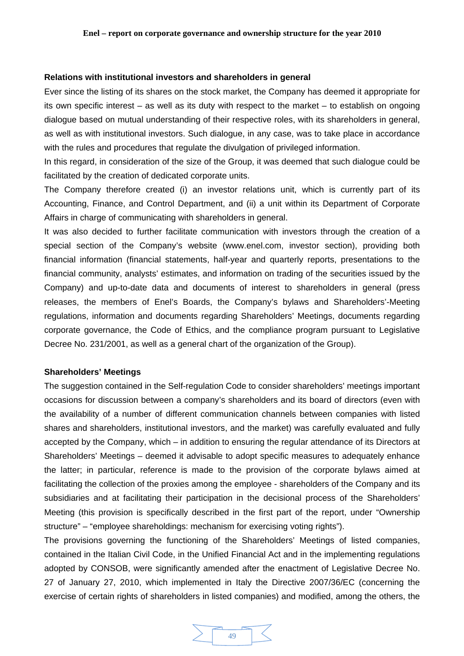### **Relations with institutional investors and shareholders in general**

Ever since the listing of its shares on the stock market, the Company has deemed it appropriate for its own specific interest – as well as its duty with respect to the market – to establish on ongoing dialogue based on mutual understanding of their respective roles, with its shareholders in general, as well as with institutional investors. Such dialogue, in any case, was to take place in accordance with the rules and procedures that regulate the divulgation of privileged information.

In this regard, in consideration of the size of the Group, it was deemed that such dialogue could be facilitated by the creation of dedicated corporate units.

The Company therefore created (i) an investor relations unit, which is currently part of its Accounting, Finance, and Control Department, and (ii) a unit within its Department of Corporate Affairs in charge of communicating with shareholders in general.

It was also decided to further facilitate communication with investors through the creation of a special section of the Company's website (www.enel.com, investor section), providing both financial information (financial statements, half-year and quarterly reports, presentations to the financial community, analysts' estimates, and information on trading of the securities issued by the Company) and up-to-date data and documents of interest to shareholders in general (press releases, the members of Enel's Boards, the Company's bylaws and Shareholders'-Meeting regulations, information and documents regarding Shareholders' Meetings, documents regarding corporate governance, the Code of Ethics, and the compliance program pursuant to Legislative Decree No. 231/2001, as well as a general chart of the organization of the Group).

### **Shareholders' Meetings**

The suggestion contained in the Self-regulation Code to consider shareholders' meetings important occasions for discussion between a company's shareholders and its board of directors (even with the availability of a number of different communication channels between companies with listed shares and shareholders, institutional investors, and the market) was carefully evaluated and fully accepted by the Company, which – in addition to ensuring the regular attendance of its Directors at Shareholders' Meetings – deemed it advisable to adopt specific measures to adequately enhance the latter; in particular, reference is made to the provision of the corporate bylaws aimed at facilitating the collection of the proxies among the employee - shareholders of the Company and its subsidiaries and at facilitating their participation in the decisional process of the Shareholders' Meeting (this provision is specifically described in the first part of the report, under "Ownership structure" – "employee shareholdings: mechanism for exercising voting rights").

The provisions governing the functioning of the Shareholders' Meetings of listed companies, contained in the Italian Civil Code, in the Unified Financial Act and in the implementing regulations adopted by CONSOB, were significantly amended after the enactment of Legislative Decree No. 27 of January 27, 2010, which implemented in Italy the Directive 2007/36/EC (concerning the exercise of certain rights of shareholders in listed companies) and modified, among the others, the

![](_page_48_Figure_9.jpeg)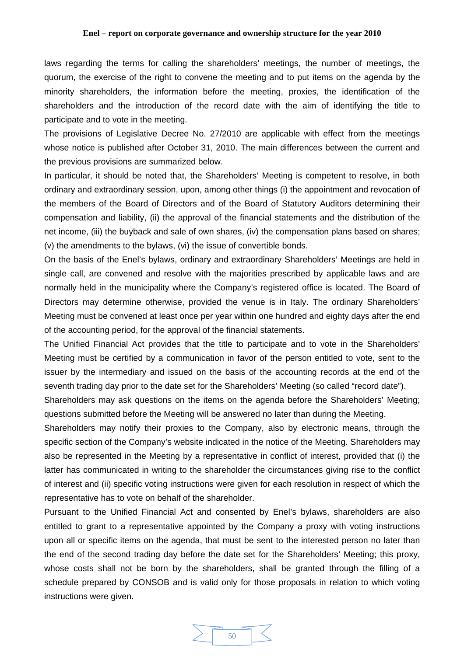laws regarding the terms for calling the shareholders' meetings, the number of meetings, the quorum, the exercise of the right to convene the meeting and to put items on the agenda by the minority shareholders, the information before the meeting, proxies, the identification of the shareholders and the introduction of the record date with the aim of identifying the title to participate and to vote in the meeting.

The provisions of Legislative Decree No. 27/2010 are applicable with effect from the meetings whose notice is published after October 31, 2010. The main differences between the current and the previous provisions are summarized below.

In particular, it should be noted that, the Shareholders' Meeting is competent to resolve, in both ordinary and extraordinary session, upon, among other things (i) the appointment and revocation of the members of the Board of Directors and of the Board of Statutory Auditors determining their compensation and liability, (ii) the approval of the financial statements and the distribution of the net income, (iii) the buyback and sale of own shares, (iv) the compensation plans based on shares; (v) the amendments to the bylaws, (vi) the issue of convertible bonds.

On the basis of the Enel's bylaws, ordinary and extraordinary Shareholders' Meetings are held in single call, are convened and resolve with the majorities prescribed by applicable laws and are normally held in the municipality where the Company's registered office is located. The Board of Directors may determine otherwise, provided the venue is in Italy. The ordinary Shareholders' Meeting must be convened at least once per year within one hundred and eighty days after the end of the accounting period, for the approval of the financial statements.

The Unified Financial Act provides that the title to participate and to vote in the Shareholders' Meeting must be certified by a communication in favor of the person entitled to vote, sent to the issuer by the intermediary and issued on the basis of the accounting records at the end of the seventh trading day prior to the date set for the Shareholders' Meeting (so called "record date").

Shareholders may ask questions on the items on the agenda before the Shareholders' Meeting; questions submitted before the Meeting will be answered no later than during the Meeting.

Shareholders may notify their proxies to the Company, also by electronic means, through the specific section of the Company's website indicated in the notice of the Meeting. Shareholders may also be represented in the Meeting by a representative in conflict of interest, provided that (i) the latter has communicated in writing to the shareholder the circumstances giving rise to the conflict of interest and (ii) specific voting instructions were given for each resolution in respect of which the representative has to vote on behalf of the shareholder.

Pursuant to the Unified Financial Act and consented by Enel's bylaws, shareholders are also entitled to grant to a representative appointed by the Company a proxy with voting instructions upon all or specific items on the agenda, that must be sent to the interested person no later than the end of the second trading day before the date set for the Shareholders' Meeting; this proxy, whose costs shall not be born by the shareholders, shall be granted through the filling of a schedule prepared by CONSOB and is valid only for those proposals in relation to which voting instructions were given.

![](_page_49_Figure_9.jpeg)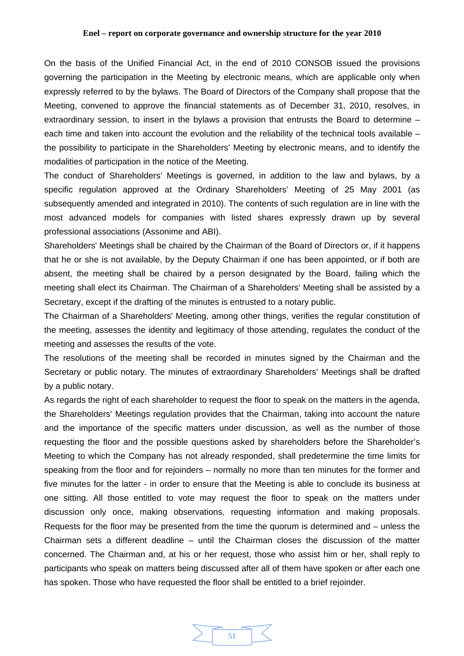On the basis of the Unified Financial Act, in the end of 2010 CONSOB issued the provisions governing the participation in the Meeting by electronic means, which are applicable only when expressly referred to by the bylaws. The Board of Directors of the Company shall propose that the Meeting, convened to approve the financial statements as of December 31, 2010, resolves, in extraordinary session, to insert in the bylaws a provision that entrusts the Board to determine – each time and taken into account the evolution and the reliability of the technical tools available – the possibility to participate in the Shareholders' Meeting by electronic means, and to identify the modalities of participation in the notice of the Meeting.

The conduct of Shareholders' Meetings is governed, in addition to the law and bylaws, by a specific regulation approved at the Ordinary Shareholders' Meeting of 25 May 2001 (as subsequently amended and integrated in 2010). The contents of such regulation are in line with the most advanced models for companies with listed shares expressly drawn up by several professional associations (Assonime and ABI).

Shareholders' Meetings shall be chaired by the Chairman of the Board of Directors or, if it happens that he or she is not available, by the Deputy Chairman if one has been appointed, or if both are absent, the meeting shall be chaired by a person designated by the Board, failing which the meeting shall elect its Chairman. The Chairman of a Shareholders' Meeting shall be assisted by a Secretary, except if the drafting of the minutes is entrusted to a notary public.

The Chairman of a Shareholders' Meeting, among other things, verifies the regular constitution of the meeting, assesses the identity and legitimacy of those attending, regulates the conduct of the meeting and assesses the results of the vote.

The resolutions of the meeting shall be recorded in minutes signed by the Chairman and the Secretary or public notary. The minutes of extraordinary Shareholders' Meetings shall be drafted by a public notary.

As regards the right of each shareholder to request the floor to speak on the matters in the agenda, the Shareholders' Meetings regulation provides that the Chairman, taking into account the nature and the importance of the specific matters under discussion, as well as the number of those requesting the floor and the possible questions asked by shareholders before the Shareholder's Meeting to which the Company has not already responded, shall predetermine the time limits for speaking from the floor and for rejoinders – normally no more than ten minutes for the former and five minutes for the latter - in order to ensure that the Meeting is able to conclude its business at one sitting. All those entitled to vote may request the floor to speak on the matters under discussion only once, making observations, requesting information and making proposals. Requests for the floor may be presented from the time the quorum is determined and – unless the Chairman sets a different deadline – until the Chairman closes the discussion of the matter concerned. The Chairman and, at his or her request, those who assist him or her, shall reply to participants who speak on matters being discussed after all of them have spoken or after each one has spoken. Those who have requested the floor shall be entitled to a brief rejoinder.

![](_page_50_Figure_7.jpeg)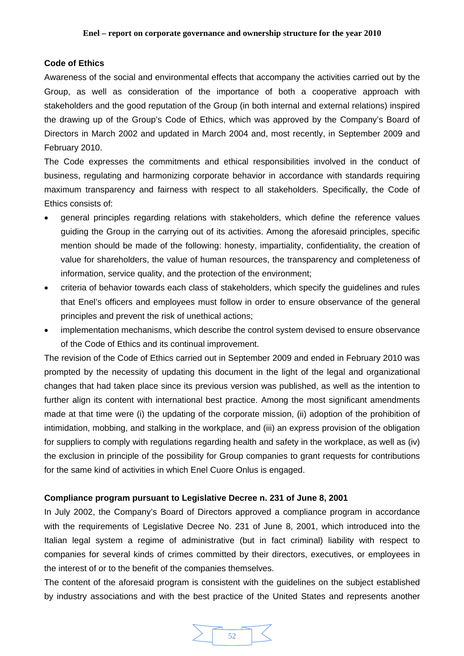# **Code of Ethics**

Awareness of the social and environmental effects that accompany the activities carried out by the Group, as well as consideration of the importance of both a cooperative approach with stakeholders and the good reputation of the Group (in both internal and external relations) inspired the drawing up of the Group's Code of Ethics, which was approved by the Company's Board of Directors in March 2002 and updated in March 2004 and, most recently, in September 2009 and February 2010.

The Code expresses the commitments and ethical responsibilities involved in the conduct of business, regulating and harmonizing corporate behavior in accordance with standards requiring maximum transparency and fairness with respect to all stakeholders. Specifically, the Code of Ethics consists of:

- general principles regarding relations with stakeholders, which define the reference values guiding the Group in the carrying out of its activities. Among the aforesaid principles, specific mention should be made of the following: honesty, impartiality, confidentiality, the creation of value for shareholders, the value of human resources, the transparency and completeness of information, service quality, and the protection of the environment;
- criteria of behavior towards each class of stakeholders, which specify the guidelines and rules that Enel's officers and employees must follow in order to ensure observance of the general principles and prevent the risk of unethical actions;
- implementation mechanisms, which describe the control system devised to ensure observance of the Code of Ethics and its continual improvement.

The revision of the Code of Ethics carried out in September 2009 and ended in February 2010 was prompted by the necessity of updating this document in the light of the legal and organizational changes that had taken place since its previous version was published, as well as the intention to further align its content with international best practice. Among the most significant amendments made at that time were (i) the updating of the corporate mission, (ii) adoption of the prohibition of intimidation, mobbing, and stalking in the workplace, and (iii) an express provision of the obligation for suppliers to comply with regulations regarding health and safety in the workplace, as well as (iv) the exclusion in principle of the possibility for Group companies to grant requests for contributions for the same kind of activities in which Enel Cuore Onlus is engaged.

# **Compliance program pursuant to Legislative Decree n. 231 of June 8, 2001**

In July 2002, the Company's Board of Directors approved a compliance program in accordance with the requirements of Legislative Decree No. 231 of June 8, 2001, which introduced into the Italian legal system a regime of administrative (but in fact criminal) liability with respect to companies for several kinds of crimes committed by their directors, executives, or employees in the interest of or to the benefit of the companies themselves.

The content of the aforesaid program is consistent with the guidelines on the subject established by industry associations and with the best practice of the United States and represents another

![](_page_51_Figure_11.jpeg)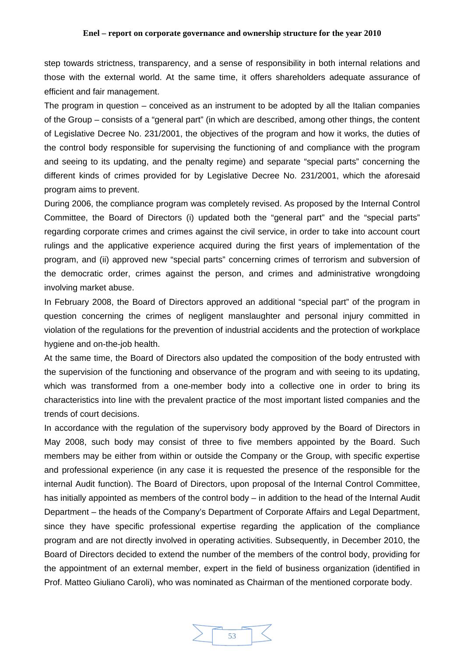step towards strictness, transparency, and a sense of responsibility in both internal relations and those with the external world. At the same time, it offers shareholders adequate assurance of efficient and fair management.

The program in question – conceived as an instrument to be adopted by all the Italian companies of the Group – consists of a "general part" (in which are described, among other things, the content of Legislative Decree No. 231/2001, the objectives of the program and how it works, the duties of the control body responsible for supervising the functioning of and compliance with the program and seeing to its updating, and the penalty regime) and separate "special parts" concerning the different kinds of crimes provided for by Legislative Decree No. 231/2001, which the aforesaid program aims to prevent.

During 2006, the compliance program was completely revised. As proposed by the Internal Control Committee, the Board of Directors (i) updated both the "general part" and the "special parts" regarding corporate crimes and crimes against the civil service, in order to take into account court rulings and the applicative experience acquired during the first years of implementation of the program, and (ii) approved new "special parts" concerning crimes of terrorism and subversion of the democratic order, crimes against the person, and crimes and administrative wrongdoing involving market abuse.

In February 2008, the Board of Directors approved an additional "special part" of the program in question concerning the crimes of negligent manslaughter and personal injury committed in violation of the regulations for the prevention of industrial accidents and the protection of workplace hygiene and on-the-job health.

At the same time, the Board of Directors also updated the composition of the body entrusted with the supervision of the functioning and observance of the program and with seeing to its updating, which was transformed from a one-member body into a collective one in order to bring its characteristics into line with the prevalent practice of the most important listed companies and the trends of court decisions.

In accordance with the regulation of the supervisory body approved by the Board of Directors in May 2008, such body may consist of three to five members appointed by the Board. Such members may be either from within or outside the Company or the Group, with specific expertise and professional experience (in any case it is requested the presence of the responsible for the internal Audit function). The Board of Directors, upon proposal of the Internal Control Committee, has initially appointed as members of the control body – in addition to the head of the Internal Audit Department – the heads of the Company's Department of Corporate Affairs and Legal Department, since they have specific professional expertise regarding the application of the compliance program and are not directly involved in operating activities. Subsequently, in December 2010, the Board of Directors decided to extend the number of the members of the control body, providing for the appointment of an external member, expert in the field of business organization (identified in Prof. Matteo Giuliano Caroli), who was nominated as Chairman of the mentioned corporate body.

![](_page_52_Picture_7.jpeg)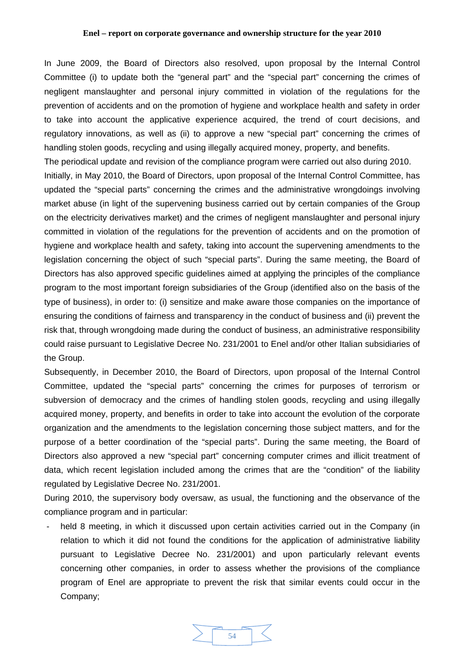In June 2009, the Board of Directors also resolved, upon proposal by the Internal Control Committee (i) to update both the "general part" and the "special part" concerning the crimes of negligent manslaughter and personal injury committed in violation of the regulations for the prevention of accidents and on the promotion of hygiene and workplace health and safety in order to take into account the applicative experience acquired, the trend of court decisions, and regulatory innovations, as well as (ii) to approve a new "special part" concerning the crimes of handling stolen goods, recycling and using illegally acquired money, property, and benefits.

The periodical update and revision of the compliance program were carried out also during 2010. Initially, in May 2010, the Board of Directors, upon proposal of the Internal Control Committee, has updated the "special parts" concerning the crimes and the administrative wrongdoings involving market abuse (in light of the supervening business carried out by certain companies of the Group on the electricity derivatives market) and the crimes of negligent manslaughter and personal injury committed in violation of the regulations for the prevention of accidents and on the promotion of hygiene and workplace health and safety, taking into account the supervening amendments to the legislation concerning the object of such "special parts". During the same meeting, the Board of Directors has also approved specific guidelines aimed at applying the principles of the compliance program to the most important foreign subsidiaries of the Group (identified also on the basis of the type of business), in order to: (i) sensitize and make aware those companies on the importance of ensuring the conditions of fairness and transparency in the conduct of business and (ii) prevent the risk that, through wrongdoing made during the conduct of business, an administrative responsibility could raise pursuant to Legislative Decree No. 231/2001 to Enel and/or other Italian subsidiaries of the Group.

Subsequently, in December 2010, the Board of Directors, upon proposal of the Internal Control Committee, updated the "special parts" concerning the crimes for purposes of terrorism or subversion of democracy and the crimes of handling stolen goods, recycling and using illegally acquired money, property, and benefits in order to take into account the evolution of the corporate organization and the amendments to the legislation concerning those subject matters, and for the purpose of a better coordination of the "special parts". During the same meeting, the Board of Directors also approved a new "special part" concerning computer crimes and illicit treatment of data, which recent legislation included among the crimes that are the "condition" of the liability regulated by Legislative Decree No. 231/2001.

During 2010, the supervisory body oversaw, as usual, the functioning and the observance of the compliance program and in particular:

- held 8 meeting, in which it discussed upon certain activities carried out in the Company (in relation to which it did not found the conditions for the application of administrative liability pursuant to Legislative Decree No. 231/2001) and upon particularly relevant events concerning other companies, in order to assess whether the provisions of the compliance program of Enel are appropriate to prevent the risk that similar events could occur in the Company;

![](_page_53_Figure_6.jpeg)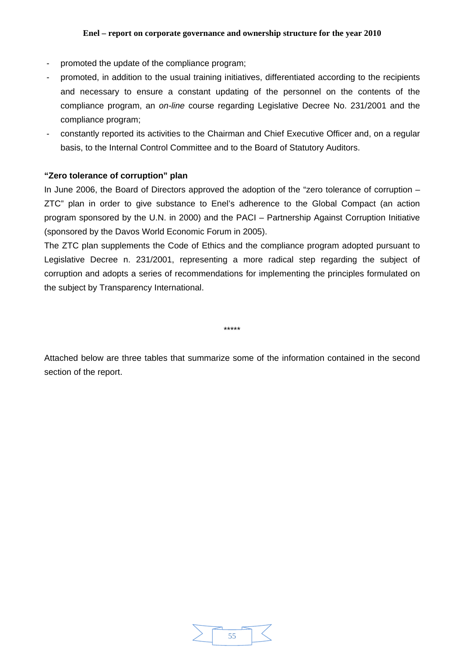- promoted the update of the compliance program;
- promoted, in addition to the usual training initiatives, differentiated according to the recipients and necessary to ensure a constant updating of the personnel on the contents of the compliance program, an *on-line* course regarding Legislative Decree No. 231/2001 and the compliance program;
- constantly reported its activities to the Chairman and Chief Executive Officer and, on a regular basis, to the Internal Control Committee and to the Board of Statutory Auditors.

# **"Zero tolerance of corruption" plan**

In June 2006, the Board of Directors approved the adoption of the "zero tolerance of corruption – ZTC" plan in order to give substance to Enel's adherence to the Global Compact (an action program sponsored by the U.N. in 2000) and the PACI – Partnership Against Corruption Initiative (sponsored by the Davos World Economic Forum in 2005).

The ZTC plan supplements the Code of Ethics and the compliance program adopted pursuant to Legislative Decree n. 231/2001, representing a more radical step regarding the subject of corruption and adopts a series of recommendations for implementing the principles formulated on the subject by Transparency International.

\*\*\*\*\*

Attached below are three tables that summarize some of the information contained in the second section of the report.

![](_page_54_Figure_9.jpeg)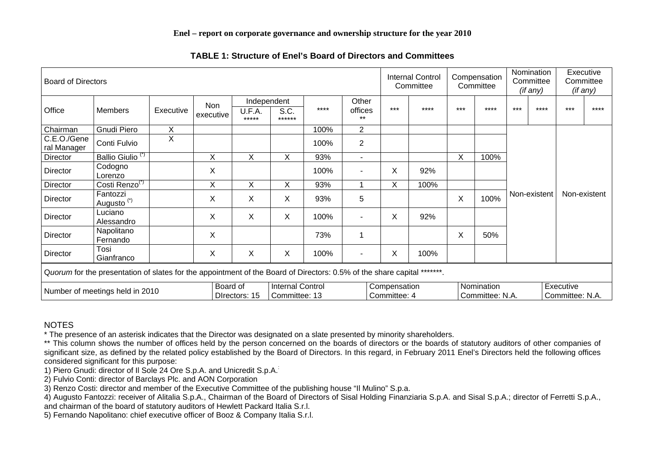| <b>Board of Directors</b>                                                                                               |                                    |           |                  |                           |                                          | <b>Internal Control</b><br>Committee |                  | Compensation<br>Committee    |       | Nomination<br>Committee<br>(if any) |                               | Executive<br>Committee<br>(if any) |       |                              |              |
|-------------------------------------------------------------------------------------------------------------------------|------------------------------------|-----------|------------------|---------------------------|------------------------------------------|--------------------------------------|------------------|------------------------------|-------|-------------------------------------|-------------------------------|------------------------------------|-------|------------------------------|--------------|
| Office                                                                                                                  | Members                            | Executive | Non<br>executive |                           | Independent                              |                                      | Other            |                              |       |                                     |                               |                                    |       |                              |              |
|                                                                                                                         |                                    |           |                  | U.F.A.<br>*****           | S.C.<br>******                           | ****                                 | offices<br>$***$ | $***$                        | $***$ | $***$                               | ****                          | $***$                              | $***$ | ***                          | ****         |
| Chairman                                                                                                                | Gnudi Piero                        | X         |                  |                           |                                          | 100%                                 | $\overline{2}$   |                              |       |                                     |                               |                                    |       |                              |              |
| C.E.O./Gene<br>ral Manager                                                                                              | Conti Fulvio                       | X         |                  |                           |                                          | 100%                                 | $\overline{2}$   |                              |       |                                     |                               |                                    |       |                              |              |
| Director                                                                                                                | Ballio Giulio <sup>(*)</sup>       |           | X                | Χ                         | Χ                                        | 93%                                  |                  |                              |       | X                                   | 100%                          | Non-existent                       |       |                              |              |
| <b>Director</b>                                                                                                         | Codogno<br>Lorenzo                 |           | X                |                           |                                          | 100%                                 |                  | Χ                            | 92%   |                                     |                               |                                    |       |                              |              |
| Director                                                                                                                | Costi Renzo <sup>(*)</sup>         |           | $\pmb{\times}$   | X                         | X                                        | 93%                                  |                  | Χ                            | 100%  |                                     |                               |                                    |       |                              |              |
| Director                                                                                                                | Fantozzi<br>Augusto <sup>(*)</sup> |           | X                | X                         | X                                        | 93%                                  | 5                |                              |       | X                                   | 100%                          |                                    |       |                              | Non-existent |
| <b>Director</b>                                                                                                         | Luciano<br>Alessandro              |           | X                | X                         | X                                        | 100%                                 |                  | Χ                            | 92%   |                                     |                               |                                    |       |                              |              |
| Director                                                                                                                | Napolitano<br>Fernando             |           | $\pmb{\times}$   |                           |                                          | 73%                                  | 1                |                              |       | X                                   | 50%                           |                                    |       |                              |              |
| <b>Director</b>                                                                                                         | Tosi<br>Gianfranco                 |           | X                | X                         | X                                        | 100%                                 |                  | X                            | 100%  |                                     |                               |                                    |       |                              |              |
| Quorum for the presentation of slates for the appointment of the Board of Directors: 0.5% of the share capital *******. |                                    |           |                  |                           |                                          |                                      |                  |                              |       |                                     |                               |                                    |       |                              |              |
| Number of meetings held in 2010                                                                                         |                                    |           |                  | Board of<br>Directors: 15 | <b>Internal Control</b><br>Committee: 13 |                                      |                  | Compensation<br>Committee: 4 |       |                                     | Nomination<br>Committee: N.A. |                                    |       | Executive<br>Committee: N.A. |              |

**TABLE 1: Structure of Enel's Board of Directors and Committees** 

# NOTES

\* The presence of an asterisk indicates that the Director was designated on a slate presented by minority shareholders.

\*\* This column shows the number of offices held by the person concerned on the boards of directors or the boards of statutory auditors of other companies of significant size, as defined by the related policy established by the Board of Directors. In this regard, in February 2011 Enel's Directors held the following offices considered significant for this purpose:

1) Piero Gnudi: director of Il Sole 24 Ore S.p.A. and Unicredit S.p.A.:

2) Fulvio Conti: director of Barclays Plc. and AON Corporation

3) Renzo Costi: director and member of the Executive Committee of the publishing house "Il Mulino" S.p.a.

4) Augusto Fantozzi: receiver of Alitalia S.p.A., Chairman of the Board of Directors of Sisal Holding Finanziaria S.p.A. and Sisal S.p.A.; director of Ferretti S.p.A.,

and chairman of the board of statutory auditors of Hewlett Packard Italia S.r.l.

5) Fernando Napolitano: chief executive officer of Booz & Company Italia S.r.l.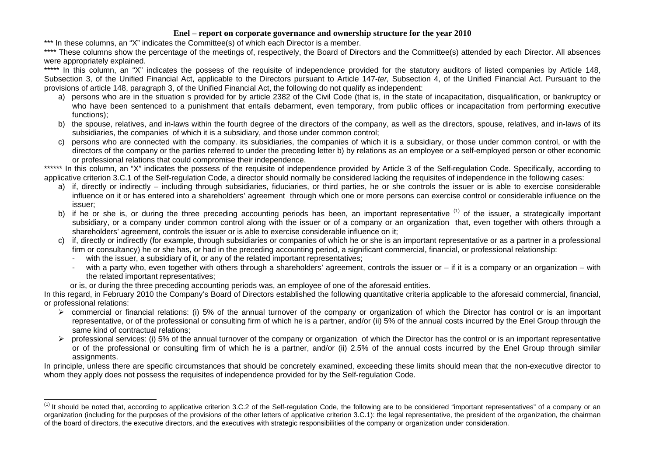\*\*\* In these columns, an "X" indicates the Committee(s) of which each Director is a member.

\*\*\*\* These columns show the percentage of the meetings of, respectively, the Board of Directors and the Committee(s) attended by each Director. All absences were appropriately explained.

\*\*\*\*\* In this column, an "X" indicates the possess of the requisite of independence provided for the statutory auditors of listed companies by Article 148, Subsection 3, of the Unified Financial Act, applicable to the Directors pursuant to Article 147-*ter,* Subsection 4, of the Unified Financial Act. Pursuant to the provisions of article 148, paragraph 3, of the Unified Financial Act, the following do not qualify as independent:

- a) persons who are in the situation s provided for by article 2382 of the Civil Code (that is, in the state of incapacitation, disqualification, or bankruptcy or who have been sentenced to a punishment that entails debarment, even temporary, from public offices or incapacitation from performing executive functions);
- b) the spouse, relatives, and in-laws within the fourth degree of the directors of the company, as well as the directors, spouse, relatives, and in-laws of its subsidiaries, the companies of which it is a subsidiary, and those under common control;
- c) persons who are connected with the company. its subsidiaries, the companies of which it is a subsidiary, or those under common control, or with the directors of the company or the parties referred to under the preceding letter b) by relations as an employee or a self-employed person or other economic or professional relations that could compromise their independence.

\*\*\*\*\*\* In this column, an "X" indicates the possess of the requisite of independence provided by Article 3 of the Self-regulation Code. Specifically, according to applicative criterion 3.C.1 of the Self-regulation Code, a director should normally be considered lacking the requisites of independence in the following cases:

- a) if, directly or indirectly including through subsidiaries, fiduciaries, or third parties, he or she controls the issuer or is able to exercise considerable influence on it or has entered into a shareholders' agreement through which one or more persons can exercise control or considerable influence on the issuer;
- b) if he or she is, or during the three preceding accounting periods has been, an important representative (1) of the issuer, a strategically important subsidiary, or a company under common control along with the issuer or of a company or an organization that, even together with others through a shareholders' agreement, controls the issuer or is able to exercise considerable influence on it;
- c) if, directly or indirectly (for example, through subsidiaries or companies of which he or she is an important representative or as a partner in a professional firm or consultancy) he or she has, or had in the preceding accounting period, a significant commercial, financial, or professional relationship:
	- with the issuer, a subsidiary of it, or any of the related important representatives;
	- with a party who, even together with others through a shareholders' agreement, controls the issuer or if it is a company or an organization with the related important representatives;
	- or is, or during the three preceding accounting periods was, an employee of one of the aforesaid entities.

In this regard, in February 2010 the Company's Board of Directors established the following quantitative criteria applicable to the aforesaid commercial, financial, or professional relations:

- $\triangleright$  commercial or financial relations: (i) 5% of the annual turnover of the company or organization of which the Director has control or is an important representative, or of the professional or consulting firm of which he is a partner, and/or (ii) 5% of the annual costs incurred by the Enel Group through the same kind of contractual relations;
- $\triangleright$  professional services: (i) 5% of the annual turnover of the company or organization of which the Director has the control or is an important representative or of the professional or consulting firm of which he is a partner, and/or (ii) 2.5% of the annual costs incurred by the Enel Group through similar assignments.

In principle, unless there are specific circumstances that should be concretely examined, exceeding these limits should mean that the non-executive director to whom they apply does not possess the requisites of independence provided for by the Self-regulation Code.

<sup>&</sup>lt;sup>(1)</sup> It should be noted that, according to applicative criterion 3.C.2 of the Self-regulation Code, the following are to be considered "important representatives" of a company or an organization (including for the purposes of the provisions of the other letters of applicative criterion 3.C.1): the legal representative, the president of the organization, the chairman of the board of directors, the executive directors, and the executives with strategic responsibilities of the company or organization under consideration.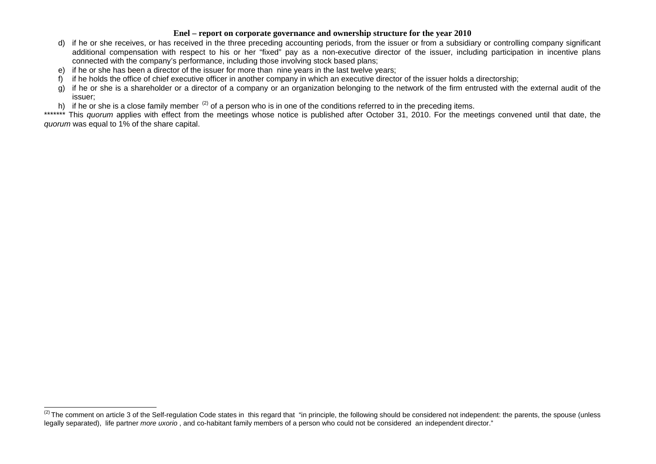- d) if he or she receives, or has received in the three preceding accounting periods, from the issuer or from a subsidiary or controlling company significant additional compensation with respect to his or her "fixed" pay as a non-executive director of the issuer, including participation in incentive plans connected with the company's performance, including those involving stock based plans;
- e) if he or she has been a director of the issuer for more than nine years in the last twelve years;
- f) if he holds the office of chief executive officer in another company in which an executive director of the issuer holds a directorship;
- g) if he or she is a shareholder or a director of a company or an organization belonging to the network of the firm entrusted with the external audit of the issuer;
- h) if he or she is a close family member  $(2)$  of a person who is in one of the conditions referred to in the preceding items.

\*\*\*\*\*\*\*\* This *quorum* applies with effect from the meetings whose notice is published after October 31, 2010. For the meetings convened until that date, the *quorum* was equal to 1% of the share capital.

<sup>&</sup>lt;sup>(2)</sup> The comment on article 3 of the Self-regulation Code states in this regard that "in principle, the following should be considered not independent: the parents, the spouse (unless legally separated), life partner *more uxorio* , and co-habitant family members of a person who could not be considered an independent director."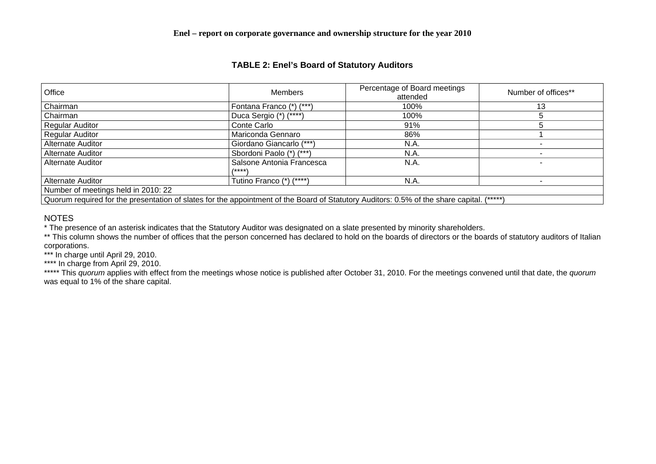# **TABLE 2: Enel's Board of Statutory Auditors**

| Office                                                                                                                                          | <b>Members</b>            | Percentage of Board meetings<br>attended | Number of offices** |  |  |  |  |
|-------------------------------------------------------------------------------------------------------------------------------------------------|---------------------------|------------------------------------------|---------------------|--|--|--|--|
| Chairman                                                                                                                                        | Fontana Franco (*) (***)  | 100%                                     | 13                  |  |  |  |  |
| Chairman                                                                                                                                        | Duca Sergio (*) (****)    | 100%                                     |                     |  |  |  |  |
| <b>Regular Auditor</b>                                                                                                                          | Conte Carlo               | 91%                                      |                     |  |  |  |  |
| Regular Auditor                                                                                                                                 | Mariconda Gennaro         | 86%                                      |                     |  |  |  |  |
| <b>Alternate Auditor</b>                                                                                                                        | Giordano Giancarlo (***)  | N.A.                                     |                     |  |  |  |  |
| Alternate Auditor                                                                                                                               | Sbordoni Paolo (*) (***)  | N.A.                                     |                     |  |  |  |  |
| <b>Alternate Auditor</b>                                                                                                                        | Salsone Antonia Francesca | N.A.                                     |                     |  |  |  |  |
|                                                                                                                                                 | /****`                    |                                          |                     |  |  |  |  |
| <b>Alternate Auditor</b>                                                                                                                        | Tutino Franco (*) (****)  | N.A.                                     |                     |  |  |  |  |
| Number of meetings held in 2010: 22                                                                                                             |                           |                                          |                     |  |  |  |  |
| Quorum required for the presentation of slates for the appointment of the Board of Statutory Auditors: 0.5% of the share capital.<br>$(*****")$ |                           |                                          |                     |  |  |  |  |

# **NOTES**

\* The presence of an asterisk indicates that the Statutory Auditor was designated on a slate presented by minority shareholders.

\*\* This column shows the number of offices that the person concerned has declared to hold on the boards of directors or the boards of statutory auditors of Italian corporations.

\*\*\* In charge until April 29, 2010.

\*\*\*\* In charge from April 29, 2010.

\*\*\*\*\* This *quorum* applies with effect from the meetings whose notice is published after October 31, 2010. For the meetings convened until that date, the *quorum* was equal to 1% of the share capital.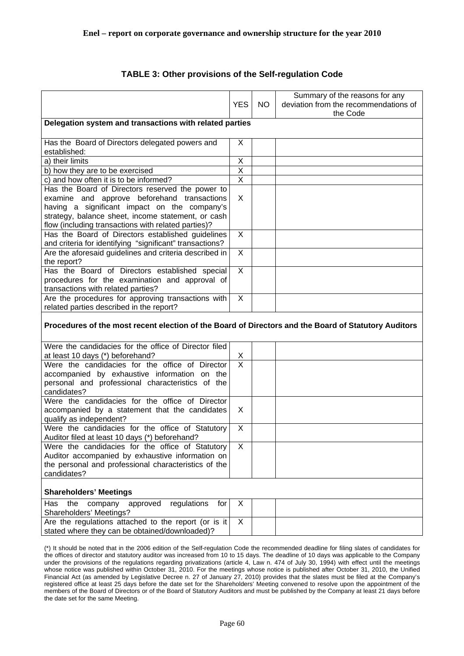|                                                                                                      |                         |           | Summary of the reasons for any        |  |  |  |  |
|------------------------------------------------------------------------------------------------------|-------------------------|-----------|---------------------------------------|--|--|--|--|
|                                                                                                      | <b>YES</b>              | <b>NO</b> | deviation from the recommendations of |  |  |  |  |
|                                                                                                      |                         |           | the Code                              |  |  |  |  |
| Delegation system and transactions with related parties                                              |                         |           |                                       |  |  |  |  |
|                                                                                                      |                         |           |                                       |  |  |  |  |
| Has the Board of Directors delegated powers and                                                      | X                       |           |                                       |  |  |  |  |
| established:                                                                                         |                         |           |                                       |  |  |  |  |
| a) their limits                                                                                      | X                       |           |                                       |  |  |  |  |
| b) how they are to be exercised                                                                      | X                       |           |                                       |  |  |  |  |
| c) and how often it is to be informed?                                                               | $\overline{\mathsf{x}}$ |           |                                       |  |  |  |  |
| Has the Board of Directors reserved the power to                                                     |                         |           |                                       |  |  |  |  |
| examine and approve beforehand transactions                                                          | X                       |           |                                       |  |  |  |  |
| having a significant impact on the company's                                                         |                         |           |                                       |  |  |  |  |
| strategy, balance sheet, income statement, or cash                                                   |                         |           |                                       |  |  |  |  |
| flow (including transactions with related parties)?                                                  |                         |           |                                       |  |  |  |  |
| Has the Board of Directors established guidelines                                                    | X                       |           |                                       |  |  |  |  |
| and criteria for identifying "significant" transactions?                                             |                         |           |                                       |  |  |  |  |
| Are the aforesaid guidelines and criteria described in                                               | X                       |           |                                       |  |  |  |  |
| the report?                                                                                          |                         |           |                                       |  |  |  |  |
| Has the Board of Directors established special                                                       | $\sf X$                 |           |                                       |  |  |  |  |
| procedures for the examination and approval of                                                       |                         |           |                                       |  |  |  |  |
| transactions with related parties?                                                                   |                         |           |                                       |  |  |  |  |
| Are the procedures for approving transactions with                                                   | X                       |           |                                       |  |  |  |  |
| related parties described in the report?                                                             |                         |           |                                       |  |  |  |  |
|                                                                                                      |                         |           |                                       |  |  |  |  |
| Procedures of the most recent election of the Board of Directors and the Board of Statutory Auditors |                         |           |                                       |  |  |  |  |
|                                                                                                      |                         |           |                                       |  |  |  |  |
| Were the candidacies for the office of Director filed                                                |                         |           |                                       |  |  |  |  |
| at least 10 days (*) beforehand?                                                                     | $\frac{X}{X}$           |           |                                       |  |  |  |  |
| Were the candidacies for the office of Director                                                      |                         |           |                                       |  |  |  |  |
| accompanied by exhaustive information on the                                                         |                         |           |                                       |  |  |  |  |
| personal and professional characteristics of the<br>candidates?                                      |                         |           |                                       |  |  |  |  |
| Were the candidacies for the office of Director                                                      |                         |           |                                       |  |  |  |  |
| accompanied by a statement that the candidates                                                       | X                       |           |                                       |  |  |  |  |
| qualify as independent?                                                                              |                         |           |                                       |  |  |  |  |
| Were the candidacies for the office of Statutory                                                     | X                       |           |                                       |  |  |  |  |
| Auditor filed at least 10 days (*) beforehand?                                                       |                         |           |                                       |  |  |  |  |
| Were the candidacies for the office of Statutory                                                     | X                       |           |                                       |  |  |  |  |
| Auditor accompanied by exhaustive information on                                                     |                         |           |                                       |  |  |  |  |
| the personal and professional characteristics of the                                                 |                         |           |                                       |  |  |  |  |
| candidates?                                                                                          |                         |           |                                       |  |  |  |  |
|                                                                                                      |                         |           |                                       |  |  |  |  |
| <b>Shareholders' Meetings</b>                                                                        |                         |           |                                       |  |  |  |  |
| regulations<br>the<br>company<br>approved<br>Has<br>for                                              | X                       |           |                                       |  |  |  |  |
| Shareholders' Meetings?                                                                              |                         |           |                                       |  |  |  |  |
| Are the regulations attached to the report (or is it                                                 | $\times$                |           |                                       |  |  |  |  |
| stated where they can be obtained/downloaded)?                                                       |                         |           |                                       |  |  |  |  |
|                                                                                                      |                         |           |                                       |  |  |  |  |

# **TABLE 3: Other provisions of the Self-regulation Code**

(\*) It should be noted that in the 2006 edition of the Self-regulation Code the recommended deadline for filing slates of candidates for the offices of director and statutory auditor was increased from 10 to 15 days. The deadline of 10 days was applicable to the Company under the provisions of the regulations regarding privatizations (article 4, Law n. 474 of July 30, 1994) with effect until the meetings whose notice was published within October 31, 2010. For the meetings whose notice is published after October 31, 2010, the Unified Financial Act (as amended by Legislative Decree n. 27 of January 27, 2010) provides that the slates must be filed at the Company's registered office at least 25 days before the date set for the Shareholders' Meeting convened to resolve upon the appointment of the members of the Board of Directors or of the Board of Statutory Auditors and must be published by the Company at least 21 days before the date set for the same Meeting.